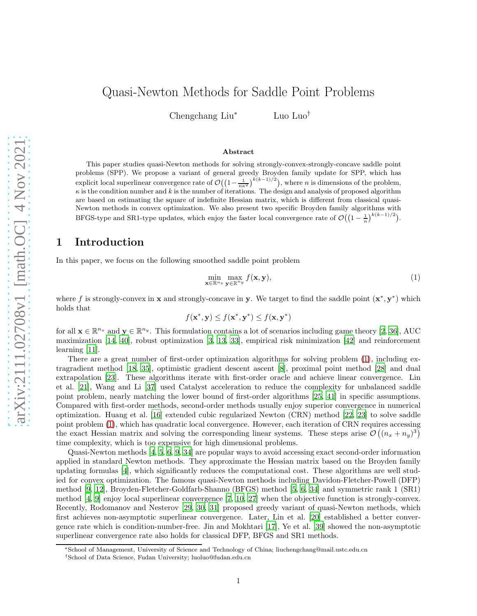# Quasi-Newton Methods for Saddle Point Problems

Chengchang Liu<sup>∗</sup> Luo Luo†

#### Abstract

This paper studies quasi-Newton methods for solving strongly-convex-strongly-concave saddle point problems (SPP). We propose a variant of general greedy Broyden family update for SPP, which has explicit local superlinear convergence rate of  $\mathcal{O}((1-\frac{1}{n\kappa^2})^{k(k-1)/2})$ , where *n* is dimensions of the problem,  $\kappa$  is the condition number and k is the number of iterations. The design and analysis of proposed algorithm are based on estimating the square of indefinite Hessian matrix, which is different from classical quasi-Newton methods in convex optimization. We also present two specific Broyden family algorithms with BFGS-type and SR1-type updates, which enjoy the faster local convergence rate of  $\mathcal{O}((1-\frac{1}{n})^{k(k-1)/2})$ .

### 1 Introduction

In this paper, we focus on the following smoothed saddle point problem

<span id="page-0-0"></span>
$$
\min_{\mathbf{x} \in \mathbb{R}^{n_x}} \max_{\mathbf{y} \in \mathbb{R}^{n_y}} f(\mathbf{x}, \mathbf{y}),\tag{1}
$$

where f is strongly-convex in **x** and strongly-concave in **y**. We target to find the saddle point  $(x^*, y^*)$  which holds that

$$
f(\mathbf{x}^*, \mathbf{y}) \le f(\mathbf{x}^*, \mathbf{y}^*) \le f(\mathbf{x}, \mathbf{y}^*)
$$

for all  $\mathbf{x} \in \mathbb{R}^{n_x}$  and  $\mathbf{y} \in \mathbb{R}^{n_y}$ . This formulation contains a lot of scenarios including game theory [\[2](#page-13-0), [36\]](#page-15-0), AUC maximization [\[14,](#page-14-0) [40\]](#page-15-1), robust optimization [\[3,](#page-13-1) [13,](#page-14-1) [33](#page-15-2)], empirical risk minimization [\[42\]](#page-15-3) and reinforcement learning [\[11\]](#page-14-2).

There are a great number of first-order optimization algorithms for solving problem [\(1\)](#page-0-0), including extragradient method [\[18,](#page-14-3) [35\]](#page-15-4), optimistic gradient descent ascent [\[8](#page-14-4)], proximal point method [\[28\]](#page-15-5) and dual extrapolation [\[23\]](#page-14-5). These algorithms iterate with first-order oracle and achieve linear convergence. Lin et al. [\[21\]](#page-14-6), Wang and Li [\[37\]](#page-15-6) used Catalyst acceleration to reduce the complexity for unbalanced saddle point problem, nearly matching the lower bound of first-order algorithms [\[25](#page-15-7), [41\]](#page-15-8) in specific assumptions. Compared with first-order methods, second-order methods usually enjoy superior convergence in numerical optimization. Huang et al. [\[16](#page-14-7)] extended cubic regularized Newton (CRN) method [\[22,](#page-14-8) [23](#page-14-5)] to solve saddle point problem [\(1\)](#page-0-0), which has quadratic local convergence. However, each iteration of CRN requires accessing the exact Hessian matrix and solving the corresponding linear systems. These steps arise  $\mathcal{O}\left((n_x + n_y)^3\right)$ time complexity, which is too expensive for high dimensional problems.

Quasi-Newton methods [\[4,](#page-14-9) [5](#page-14-10), [6,](#page-14-11) [9](#page-14-12), [34\]](#page-15-9) are popular ways to avoid accessing exact second-order information applied in standard Newton methods. They approximate the Hessian matrix based on the Broyden family updating formulas [\[4](#page-14-9)], which significantly reduces the computational cost. These algorithms are well studied for convex optimization. The famous quasi-Newton methods including Davidon-Fletcher-Powell (DFP) method [\[9](#page-14-12), [12\]](#page-14-13), Broyden-Fletcher-Goldfarb-Shanno (BFGS) method [\[5](#page-14-10), [6,](#page-14-11) [34\]](#page-15-9) and symmetric rank 1 (SR1) method  $[4, 9]$  $[4, 9]$  enjoy local superlinear convergence  $[7, 10, 27]$  $[7, 10, 27]$  $[7, 10, 27]$  when the objective function is strongly-convex. Recently, Rodomanov and Nesterov [\[29](#page-15-11), [30,](#page-15-12) [31](#page-15-13)] proposed greedy variant of quasi-Newton methods, which first achieves non-asymptotic superlinear convergence. Later, Lin et al. [\[20\]](#page-14-16) established a better convergence rate which is condition-number-free. Jin and Mokhtari [\[17\]](#page-14-17), Ye et al. [\[39](#page-15-14)] showed the non-asymptotic superlinear convergence rate also holds for classical DFP, BFGS and SR1 methods.

<sup>∗</sup>School of Management, University of Science and Technology of China; liuchengchang@mail.ustc.edu.cn

<sup>†</sup>School of Data Science, Fudan University; luoluo@fudan.edu.cn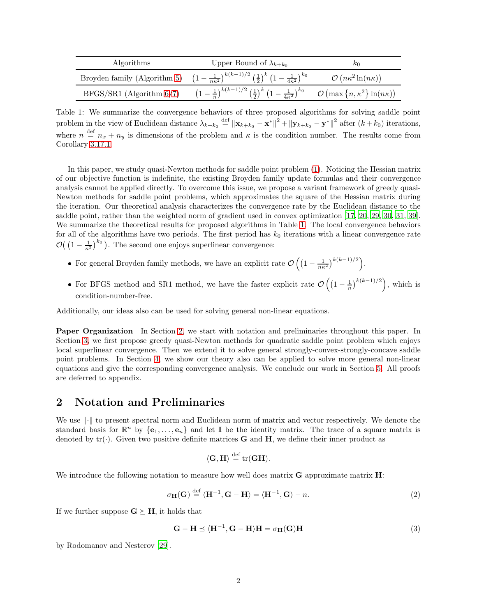| Algorithms                    | Upper Bound of $\lambda_{k+k_0}$                                                                                                                                              | $\kappa_0$                           |
|-------------------------------|-------------------------------------------------------------------------------------------------------------------------------------------------------------------------------|--------------------------------------|
|                               | Broyden family (Algorithm 5) $\left(1-\frac{1}{n\kappa^2}\right)^{k(k-1)/2} \left(\frac{1}{2}\right)^k \left(1-\frac{1}{4\kappa^2}\right)^{k_0}$                              | $\mathcal{O}(n\kappa^2\ln(n\kappa))$ |
| $BFGS/SR1$ (Algorithm $6/7$ ) | $\left(1-\frac{1}{n}\right)^{k(k-1)/2}\left(\frac{1}{2}\right)^k\left(1-\frac{1}{4\kappa^2}\right)^{k_0}$ $\mathcal{O}\left(\max\left\{n,\kappa^2\right\}\ln(n\kappa)\right)$ |                                      |

Table 1: We summarize the convergence behaviors of three proposed algorithms for solving saddle point problem in the view of Euclidean distance  $\lambda_{k+k_0} \stackrel{\text{def}}{=} ||\mathbf{x}_{k+k_0} - \mathbf{x}^*||^2 + ||\mathbf{y}_{k+k_0} - \mathbf{y}^*||^2$  after  $(k+k_0)$  iterations, where  $n \stackrel{\text{def}}{=} n_x + n_y$  is dimensions of the problem and  $\kappa$  is the condition number. The results come from Corollary [3.17.1.](#page-11-0)

In this paper, we study quasi-Newton methods for saddle point problem [\(1\)](#page-0-0). Noticing the Hessian matrix of our objective function is indefinite, the existing Broyden family update formulas and their convergence analysis cannot be applied directly. To overcome this issue, we propose a variant framework of greedy quasi-Newton methods for saddle point problems, which approximates the square of the Hessian matrix during the iteration. Our theoretical analysis characterizes the convergence rate by the Euclidean distance to the saddle point, rather than the weighted norm of gradient used in convex optimization [\[17](#page-14-17), [20,](#page-14-16) [29,](#page-15-11) [30,](#page-15-12) [31,](#page-15-13) [39\]](#page-15-14). We summarize the theoretical results for proposed algorithms in Table [1.](#page-1-0) The local convergence behaviors for all of the algorithms have two periods. The first period has  $k_0$  iterations with a linear convergence rate  $\mathcal{O}\left(\left(1-\frac{1}{\kappa^2}\right)^{k_0}\right)$ . The second one enjoys superlinear convergence:

- For general Broyden family methods, we have an explicit rate  $\mathcal{O}\left(\left(1-\frac{1}{n\kappa^2}\right)^{k(k-1)/2}\right)$ .
- For BFGS method and SR1 method, we have the faster explicit rate  $\mathcal{O}\left(\left(1-\frac{1}{n}\right)^{k(k-1)/2}\right)$ , which is condition-number-free.

Additionally, our ideas also can be used for solving general non-linear equations.

<span id="page-1-0"></span>Paper Organization In Section [2,](#page-1-1) we start with notation and preliminaries throughout this paper. In Section [3,](#page-2-0) we first propose greedy quasi-Newton methods for quadratic saddle point problem which enjoys local superlinear convergence. Then we extend it to solve general strongly-convex-strongly-concave saddle point problems. In Section [4,](#page-11-1) we show our theory also can be applied to solve more general non-linear equations and give the corresponding convergence analysis. We conclude our work in Section [5.](#page-13-2) All proofs are deferred to appendix.

## <span id="page-1-1"></span>2 Notation and Preliminaries

We use  $\|\cdot\|$  to present spectral norm and Euclidean norm of matrix and vector respectively. We denote the standard basis for  $\mathbb{R}^n$  by  $\{\mathbf{e}_1, \ldots, \mathbf{e}_n\}$  and let **I** be the identity matrix. The trace of a square matrix is denoted by  $tr(\cdot)$ . Given two positive definite matrices **G** and **H**, we define their inner product as

<span id="page-1-3"></span>
$$
\langle \mathbf{G}, \mathbf{H} \rangle \stackrel{\text{def}}{=} \operatorname{tr}(\mathbf{G}\mathbf{H}).
$$

We introduce the following notation to measure how well does matrix  $\bf{G}$  approximate matrix  $\bf{H}$ :

$$
\sigma_{\mathbf{H}}(\mathbf{G}) \stackrel{\text{def}}{=} \langle \mathbf{H}^{-1}, \mathbf{G} - \mathbf{H} \rangle = \langle \mathbf{H}^{-1}, \mathbf{G} \rangle - n. \tag{2}
$$

If we further suppose  $G \succeq H$ , it holds that

<span id="page-1-2"></span>
$$
\mathbf{G} - \mathbf{H} \preceq \langle \mathbf{H}^{-1}, \mathbf{G} - \mathbf{H} \rangle \mathbf{H} = \sigma_{\mathbf{H}}(\mathbf{G}) \mathbf{H}
$$
 (3)

by Rodomanov and Nesterov [\[29\]](#page-15-11).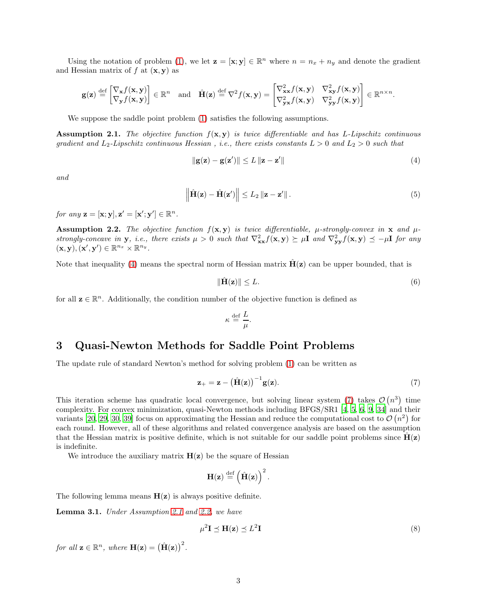Using the notation of problem [\(1\)](#page-0-0), we let  $\mathbf{z} = [\mathbf{x}; \mathbf{y}] \in \mathbb{R}^n$  where  $n = n_x + n_y$  and denote the gradient and Hessian matrix of  $f$  at  $(\mathbf{x}, \mathbf{y})$  as

$$
\mathbf{g}(\mathbf{z}) \stackrel{\text{def}}{=} \begin{bmatrix} \nabla_{\mathbf{x}} f(\mathbf{x}, \mathbf{y}) \\ \nabla_{\mathbf{y}} f(\mathbf{x}, \mathbf{y}) \end{bmatrix} \in \mathbb{R}^n \quad \text{and} \quad \hat{\mathbf{H}}(\mathbf{z}) \stackrel{\text{def}}{=} \nabla^2 f(\mathbf{x}, \mathbf{y}) = \begin{bmatrix} \nabla_{\mathbf{x}\mathbf{x}}^2 f(\mathbf{x}, \mathbf{y}) & \nabla_{\mathbf{x}\mathbf{y}}^2 f(\mathbf{x}, \mathbf{y}) \\ \nabla_{\mathbf{y}\mathbf{x}}^2 f(\mathbf{x}, \mathbf{y}) & \nabla_{\mathbf{y}\mathbf{y}}^2 f(\mathbf{x}, \mathbf{y}) \end{bmatrix} \in \mathbb{R}^{n \times n}.
$$

We suppose the saddle point problem  $(1)$  satisfies the following assumptions.

<span id="page-2-3"></span>**Assumption 2.1.** The objective function  $f(x, y)$  is twice differentiable and has L-Lipschitz continuous gradient and  $L_2$ -Lipschitz continuous Hessian, i.e., there exists constants  $L > 0$  and  $L_2 > 0$  such that

<span id="page-2-1"></span>
$$
\|\mathbf{g}(\mathbf{z}) - \mathbf{g}(\mathbf{z}')\| \le L \|\mathbf{z} - \mathbf{z}'\| \tag{4}
$$

and

$$
\left\|\hat{\mathbf{H}}(\mathbf{z}) - \hat{\mathbf{H}}(\mathbf{z}')\right\| \le L_2 \left\|\mathbf{z} - \mathbf{z}'\right\|.
$$
\n(5)

for any  $\mathbf{z} = [\mathbf{x}; \mathbf{y}], \mathbf{z}' = [\mathbf{x}'; \mathbf{y}'] \in \mathbb{R}^n$ .

<span id="page-2-4"></span>**Assumption 2.2.** The objective function  $f(x, y)$  is twice differentiable,  $\mu$ -strongly-convex in x and  $\mu$ strongly-concave in y, i.e., there exists  $\mu > 0$  such that  $\nabla^2_{xx} f(x, y) \succeq \mu I$  and  $\nabla^2_{yy} f(x, y) \preceq -\mu I$  for any  $(\mathbf{x}, \mathbf{y}), (\mathbf{x}', \mathbf{y}') \in \mathbb{R}^{n_x} \times \mathbb{R}^{n_y}.$ 

Note that inequality [\(4\)](#page-2-1) means the spectral norm of Hessian matrix  $\mathbf{H}(\mathbf{z})$  can be upper bounded, that is

<span id="page-2-7"></span>
$$
\|\hat{\mathbf{H}}(\mathbf{z})\| \le L. \tag{6}
$$

for all  $\mathbf{z} \in \mathbb{R}^n$ . Additionally, the condition number of the objective function is defined as

<span id="page-2-2"></span>
$$
\kappa \stackrel{\text{def}}{=} \frac{L}{\mu}.
$$

## <span id="page-2-0"></span>3 Quasi-Newton Methods for Saddle Point Problems

The update rule of standard Newton's method for solving problem [\(1\)](#page-0-0) can be written as

$$
\mathbf{z}_{+} = \mathbf{z} - (\hat{\mathbf{H}}(\mathbf{z}))^{-1} \mathbf{g}(\mathbf{z}). \tag{7}
$$

This iteration scheme has quadratic local convergence, but solving linear system [\(7\)](#page-2-2) takes  $\mathcal{O}(n^3)$  time complexity. For convex minimization, quasi-Newton methods including BFGS/SR1 [\[4](#page-14-9), [5](#page-14-10), [6](#page-14-11), [9](#page-14-12), [34](#page-15-9)] and their variants [\[20](#page-14-16), [29,](#page-15-11) [30](#page-15-12), [39\]](#page-15-14) focus on approximating the Hessian and reduce the computational cost to  $\mathcal{O}(n^2)$  for each round. However, all of these algorithms and related convergence analysis are based on the assumption that the Hessian matrix is positive definite, which is not suitable for our saddle point problems since  $H(z)$ is indefinite.

We introduce the auxiliary matrix  $H(z)$  be the square of Hessian

$$
\mathbf{H}(\mathbf{z}) \stackrel{\text{def}}{=} \left(\hat{\mathbf{H}}(\mathbf{z})\right)^2.
$$

The following lemma means  $H(z)$  is always positive definite.

<span id="page-2-5"></span>Lemma 3.1. Under Assumption [2.1](#page-2-3) and [2.2,](#page-2-4) we have

<span id="page-2-6"></span>
$$
\mu^2 \mathbf{I} \preceq \mathbf{H}(\mathbf{z}) \preceq L^2 \mathbf{I} \tag{8}
$$

for all  $\mathbf{z} \in \mathbb{R}^n$ , where  $\mathbf{H}(\mathbf{z}) = (\hat{\mathbf{H}}(\mathbf{z}))^2$ .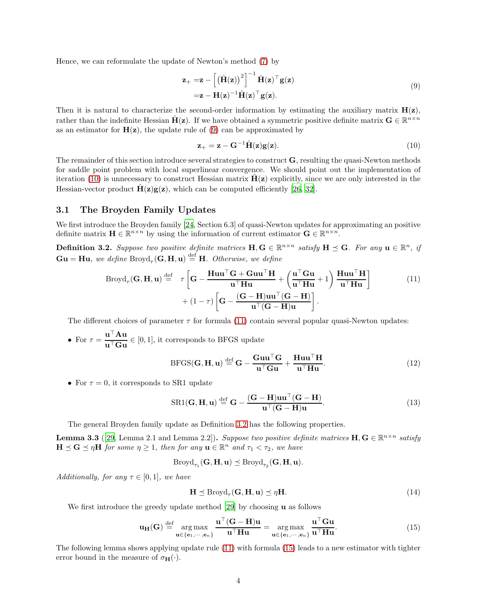Hence, we can reformulate the update of Newton's method [\(7\)](#page-2-2) by

$$
\mathbf{z}_{+} = \mathbf{z} - \left[ \left( \hat{\mathbf{H}}(\mathbf{z}) \right)^{2} \right]^{-1} \hat{\mathbf{H}}(\mathbf{z})^{\top} \mathbf{g}(\mathbf{z}) \n= \mathbf{z} - \mathbf{H}(\mathbf{z})^{-1} \hat{\mathbf{H}}(\mathbf{z})^{\top} \mathbf{g}(\mathbf{z}).
$$
\n(9)

Then it is natural to characterize the second-order information by estimating the auxiliary matrix  $H(z)$ , rather than the indefinite Hessian  $\hat{H}(z)$ . If we have obtained a symmetric positive definite matrix  $G \in \mathbb{R}^{n \times n}$ as an estimator for  $H(z)$ , the update rule of [\(9\)](#page-3-0) can be approximated by

<span id="page-3-2"></span><span id="page-3-1"></span><span id="page-3-0"></span>
$$
\mathbf{z}_{+} = \mathbf{z} - \mathbf{G}^{-1} \hat{\mathbf{H}}(\mathbf{z}) \mathbf{g}(\mathbf{z}). \tag{10}
$$

The remainder of this section introduce several strategies to construct G, resulting the quasi-Newton methods for saddle point problem with local superlinear convergence. We should point out the implementation of iteration [\(10\)](#page-3-1) is unnecessary to construct Hessian matrix  $H(z)$  explicitly, since we are only interested in the Hessian-vector product  $\mathbf{H}(\mathbf{z})\mathbf{g}(\mathbf{z})$ , which can be computed efficiently [\[26](#page-15-15), [32](#page-15-16)].

#### 3.1 The Broyden Family Updates

We first introduce the Broyden family [\[24](#page-14-18), Section 6.3] of quasi-Newton updates for approximating an positive definite matrix  $\mathbf{H} \in \mathbb{R}^{n \times n}$  by using the information of current estimator  $\mathbf{G} \in \mathbb{R}^{n \times n}$ .

<span id="page-3-3"></span>**Definition 3.2.** Suppose two positive definite matrices  $H, G \in \mathbb{R}^{n \times n}$  satisfy  $H \preceq G$ . For any  $u \in \mathbb{R}^n$ , if  $\mathbf{G} \mathbf{u} = \mathbf{H} \mathbf{u}$ , we define  $\text{Broyd}_{\tau}(\mathbf{G}, \mathbf{H}, \mathbf{u}) \stackrel{\text{def}}{=} \mathbf{H}$ . Otherwise, we define

$$
Broyd_{\tau}(\mathbf{G}, \mathbf{H}, \mathbf{u}) \stackrel{\text{def}}{=} \tau \left[ \mathbf{G} - \frac{\mathbf{H} \mathbf{u} \mathbf{u}^{\top} \mathbf{G} + \mathbf{G} \mathbf{u} \mathbf{u}^{\top} \mathbf{H}}{\mathbf{u}^{\top} \mathbf{H} \mathbf{u}} + \left( \frac{\mathbf{u}^{\top} \mathbf{G} \mathbf{u}}{\mathbf{u}^{\top} \mathbf{H} \mathbf{u}} + 1 \right) \frac{\mathbf{H} \mathbf{u} \mathbf{u}^{\top} \mathbf{H}}{\mathbf{u}^{\top} \mathbf{H} \mathbf{u}} \right] + (1 - \tau) \left[ \mathbf{G} - \frac{(\mathbf{G} - \mathbf{H}) \mathbf{u} \mathbf{u}^{\top} (\mathbf{G} - \mathbf{H})}{\mathbf{u}^{\top} (\mathbf{G} - \mathbf{H}) \mathbf{u}} \right].
$$
 (11)

The different choices of parameter  $\tau$  for formula [\(11\)](#page-3-2) contain several popular quasi-Newton updates:

• For  $\tau = \frac{\mathbf{u}^\top \mathbf{A} \mathbf{u}}{\mathbf{u}^\top \mathbf{G} \mathbf{u}} \in [0, 1]$ , it corresponds to BFGS update

<span id="page-3-5"></span>
$$
BFGS(\mathbf{G}, \mathbf{H}, \mathbf{u}) \stackrel{\text{def}}{=} \mathbf{G} - \frac{\mathbf{G} \mathbf{u} \mathbf{u}^{\top} \mathbf{G}}{\mathbf{u}^{\top} \mathbf{G} \mathbf{u}} + \frac{\mathbf{H} \mathbf{u} \mathbf{u}^{\top} \mathbf{H}}{\mathbf{u}^{\top} \mathbf{H} \mathbf{u}}.
$$
(12)

• For  $\tau = 0$ , it corresponds to SR1 update

<span id="page-3-6"></span>
$$
SR1(G, H, u) \stackrel{\text{def}}{=} G - \frac{(G - H)uu^{\top}(G - H)}{u^{\top}(G - H)u}.
$$
\n(13)

The general Broyden family update as Definition [3.2](#page-3-3) has the following properties.

<span id="page-3-7"></span>**Lemma 3.3** ([\[29,](#page-15-11) Lemma 2.1 and Lemma 2.2]). Suppose two positive definite matrices  $H, G \in \mathbb{R}^{n \times n}$  satisfy  $H \preceq G \preceq \eta H$  for some  $\eta \geq 1$ , then for any  $u \in \mathbb{R}^n$  and  $\tau_1 < \tau_2$ , we have

 $\text{Broyd}_{\tau_1}(\mathbf{G}, \mathbf{H}, \mathbf{u}) \preceq \text{Broyd}_{\tau_2}(\mathbf{G}, \mathbf{H}, \mathbf{u}).$ 

Additionally, for any  $\tau \in [0,1]$ , we have

<span id="page-3-4"></span>
$$
\mathbf{H} \preceq \text{Broyd}_{\tau}(\mathbf{G}, \mathbf{H}, \mathbf{u}) \preceq \eta \mathbf{H}.\tag{14}
$$

We first introduce the greedy update method [\[29\]](#page-15-11) by choosing  $\bf{u}$  as follows

$$
\mathbf{u}_{\mathbf{H}}(\mathbf{G}) \stackrel{\text{def}}{=} \operatorname*{arg\,max}_{\mathbf{u} \in \{\mathbf{e}_1, \cdots, \mathbf{e}_n\}} \frac{\mathbf{u}^\top (\mathbf{G} - \mathbf{H}) \mathbf{u}}{\mathbf{u}^\top \mathbf{H} \mathbf{u}} = \operatorname*{arg\,max}_{\mathbf{u} \in \{\mathbf{e}_1, \cdots, \mathbf{e}_n\}} \frac{\mathbf{u}^\top \mathbf{G} \mathbf{u}}{\mathbf{u}^\top \mathbf{H} \mathbf{u}}.
$$
(15)

The following lemma shows applying update rule [\(11\)](#page-3-2) with formula [\(15\)](#page-3-4) leads to a new estimator with tighter error bound in the measure of  $\sigma_{\mathbf{H}}(\cdot)$ .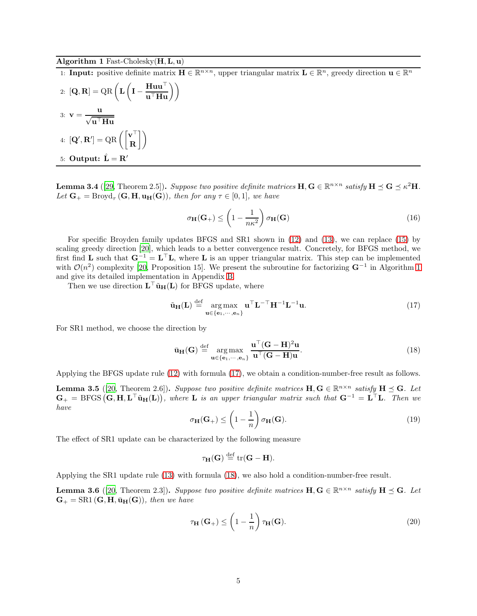#### <span id="page-4-0"></span>Algorithm 1 Fast-Cholesky $(H, L, u)$

1: **Input:** positive definite matrix  $\mathbf{H} \in \mathbb{R}^{n \times n}$ , upper triangular matrix  $\mathbf{L} \in \mathbb{R}^n$ , greedy direction  $\mathbf{u} \in \mathbb{R}^n$ 

2: 
$$
[Q, R] = QR \left( L \left( I - \frac{Huu^{\top}}{u^{\top}Hu} \right) \right)
$$
  
3: 
$$
v = \frac{u}{\sqrt{u^{\top}Hu}}
$$
  
4: 
$$
[Q', R'] = QR \left( \begin{bmatrix} v^{\top} \\ R \end{bmatrix} \right)
$$
  
5: Output: 
$$
\hat{L} = R'
$$

<span id="page-4-3"></span>**Lemma 3.4** ([\[29,](#page-15-11) Theorem 2.5]). Suppose two positive definite matrices  $\mathbf{H}, \mathbf{G} \in \mathbb{R}^{n \times n}$  satisfy  $\mathbf{H} \preceq \mathbf{G} \preceq \kappa^2 \mathbf{H}$ . Let  $\mathbf{G}_{+} = \text{Broyd}_{\tau}(\mathbf{G}, \mathbf{H}, \mathbf{u}_{\mathbf{H}}(\mathbf{G})),$  then for any  $\tau \in [0, 1],$  we have

<span id="page-4-7"></span>
$$
\sigma_{\mathbf{H}}(\mathbf{G}_{+}) \leq \left(1 - \frac{1}{n\kappa^{2}}\right)\sigma_{\mathbf{H}}(\mathbf{G})
$$
\n(16)

For specific Broyden family updates BFGS and SR1 shown in [\(12\)](#page-3-5) and [\(13\)](#page-3-6), we can replace [\(15\)](#page-3-4) by scaling greedy direction [\[20](#page-14-16)], which leads to a better convergence result. Concretely, for BFGS method, we first find **L** such that  $G^{-1} = L^{\top}L$ , where **L** is an upper triangular matrix. This step can be implemented with  $\mathcal{O}(n^2)$  complexity [\[20](#page-14-16), Proposition [1](#page-4-0)5]. We present the subroutine for factorizing  $\mathbf{G}^{-1}$  in Algorithm 1 and give its detailed implementation in Appendix [B.](#page-16-0)

Then we use direction  $\mathbf{L}^{\top} \tilde{\mathbf{u}}_{\mathbf{H}}(\mathbf{L})$  for BFGS update, where

<span id="page-4-1"></span>
$$
\tilde{\mathbf{u}}_{\mathbf{H}}(\mathbf{L}) \stackrel{\text{def}}{=} \operatorname*{arg\,max}_{\mathbf{u} \in \{\mathbf{e}_1, \cdots, \mathbf{e}_n\}} \mathbf{u}^{\top} \mathbf{L}^{-\top} \mathbf{H}^{-1} \mathbf{L}^{-1} \mathbf{u}.
$$
\n(17)

For SR1 method, we choose the direction by

<span id="page-4-2"></span>
$$
\bar{\mathbf{u}}_{\mathbf{H}}(\mathbf{G}) \stackrel{\text{def}}{=} \underset{\mathbf{u} \in \{\mathbf{e}_1, \cdots, \mathbf{e}_n\}}{\arg \max} \frac{\mathbf{u}^\top (\mathbf{G} - \mathbf{H})^2 \mathbf{u}}{\mathbf{u}^\top (\mathbf{G} - \mathbf{H}) \mathbf{u}}.
$$
(18)

Applying the BFGS update rule [\(12\)](#page-3-5) with formula [\(17\)](#page-4-1), we obtain a condition-number-free result as follows.

<span id="page-4-6"></span><span id="page-4-4"></span>**Lemma 3.5** ([\[20](#page-14-16), Theorem 2.6]). Suppose two positive definite matrices  $\mathbf{H}, \mathbf{G} \in \mathbb{R}^{n \times n}$  satisfy  $\mathbf{H} \preceq \mathbf{G}$ . Let  $G_+ = BFGS(\mathbf{G}, \mathbf{H}, \mathbf{L}^\top \tilde{\mathbf{u}}_{\mathbf{H}}(\mathbf{L})),$  where  $\mathbf{L}$  is an upper triangular matrix such that  $\mathbf{G}^{-1} = \mathbf{L}^\top \mathbf{L}$ . Then we have

$$
\sigma_{\mathbf{H}}(\mathbf{G}_{+}) \leq \left(1 - \frac{1}{n}\right)\sigma_{\mathbf{H}}(\mathbf{G}).
$$
\n(19)

The effect of SR1 update can be characterized by the following measure

$$
\tau_{\mathbf{H}}(\mathbf{G}) \stackrel{\text{def}}{=} \text{tr}(\mathbf{G} - \mathbf{H}).
$$

Applying the SR1 update rule [\(13\)](#page-3-6) with formula [\(18\)](#page-4-2), we also hold a condition-number-free result.

<span id="page-4-5"></span>**Lemma 3.6** ([\[20](#page-14-16), Theorem 2.3]). Suppose two positive definite matrices  $\mathbf{H}, \mathbf{G} \in \mathbb{R}^{n \times n}$  satisfy  $\mathbf{H} \preceq \mathbf{G}$ . Let  $\mathbf{G}_{+} = \text{SR1}(\mathbf{G}, \mathbf{H}, \bar{\mathbf{u}}_{\mathbf{H}}(\mathbf{G}))$ , then we have

<span id="page-4-8"></span>
$$
\tau_{\mathbf{H}}(\mathbf{G}_{+}) \leq \left(1 - \frac{1}{n}\right) \tau_{\mathbf{H}}(\mathbf{G}).
$$
\n(20)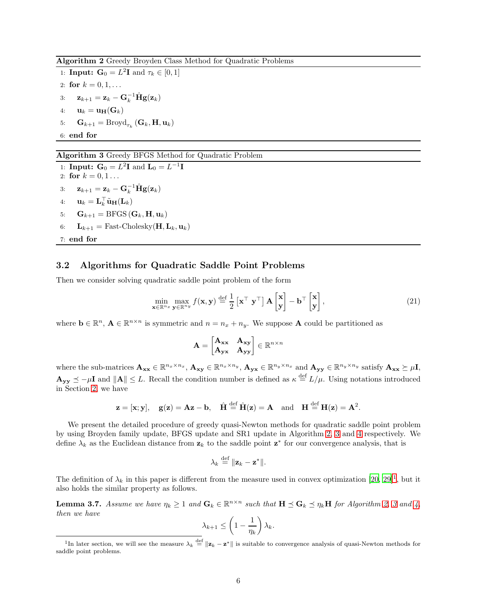<span id="page-5-0"></span>Algorithm 2 Greedy Broyden Class Method for Quadratic Problems

1: **Input:**  $\mathbf{G}_0 = L^2 \mathbf{I}$  and  $\tau_k \in [0, 1]$ 2: for  $k = 0, 1, ...$ 3:  $\mathbf{z}_{k+1} = \mathbf{z}_k - \mathbf{G}_k^{-1} \hat{\mathbf{H}} \mathbf{g}(\mathbf{z}_k)$ 4:  $\mathbf{u}_k = \mathbf{u}_{\mathbf{H}}(\mathbf{G}_k)$ 5:  $\mathbf{G}_{k+1} = \text{Broyd}_{\tau_k} (\mathbf{G}_k, \mathbf{H}, \mathbf{u}_k)$ 6: end for

### <span id="page-5-1"></span>Algorithm 3 Greedy BFGS Method for Quadratic Problem

1: **Input:**  $G_0 = L^2 I$  and  $L_0 = L^{-1} I$ 2: for  $k = 0, 1...$ 3:  $\mathbf{z}_{k+1} = \mathbf{z}_k - \mathbf{G}_k^{-1} \hat{\mathbf{H}} \mathbf{g}(\mathbf{z}_k)$ 4:  $\mathbf{u}_k = \mathbf{L}_k^{\top} \tilde{\mathbf{u}}_{\mathbf{H}}(\mathbf{L}_k)$ 5:  $\mathbf{G}_{k+1} = \text{BFGS}(\mathbf{G}_k, \mathbf{H}, \mathbf{u}_k)$ 6:  $\mathbf{L}_{k+1} = \text{Fast-Cholesky}(\mathbf{H}, \mathbf{L}_k, \mathbf{u}_k)$ 7: end for

### <span id="page-5-5"></span>3.2 Algorithms for Quadratic Saddle Point Problems

Then we consider solving quadratic saddle point problem of the form

$$
\min_{\mathbf{x} \in \mathbb{R}^{n_x}} \max_{\mathbf{y} \in \mathbb{R}^{n_y}} f(\mathbf{x}, \mathbf{y}) \stackrel{\text{def}}{=} \frac{1}{2} \left[ \mathbf{x}^\top \ \mathbf{y}^\top \right] \mathbf{A} \begin{bmatrix} \mathbf{x} \\ \mathbf{y} \end{bmatrix} - \mathbf{b}^\top \begin{bmatrix} \mathbf{x} \\ \mathbf{y} \end{bmatrix},\tag{21}
$$

where  $\mathbf{b} \in \mathbb{R}^n$ ,  $\mathbf{A} \in \mathbb{R}^{n \times n}$  is symmetric and  $n = n_x + n_y$ . We suppose **A** could be partitioned as

<span id="page-5-4"></span>
$$
\mathbf{A} = \begin{bmatrix} \mathbf{A}_{\mathbf{xx}} & \mathbf{A}_{\mathbf{xy}} \\ \mathbf{A}_{\mathbf{yx}} & \mathbf{A}_{\mathbf{yy}} \end{bmatrix} \in \mathbb{R}^{n \times n}
$$

where the sub-matrices  $\mathbf{A_{xx}} \in \mathbb{R}^{n_x \times n_x}$ ,  $\mathbf{A_{xy}} \in \mathbb{R}^{n_x \times n_y}$ ,  $\mathbf{A_{yx}} \in \mathbb{R}^{n_y \times n_x}$  and  $\mathbf{A_{yy}} \in \mathbb{R}^{n_y \times n_y}$  satisfy  $\mathbf{A_{xx}} \succeq \mu \mathbf{I}$ ,  $\mathbf{A}_{\mathbf{y}\mathbf{y}} \preceq -\mu \mathbf{I}$  and  $\|\mathbf{A}\| \leq L$ . Recall the condition number is defined as  $\kappa \stackrel{\text{def}}{=} L/\mu$ . Using notations introduced in Section [2,](#page-1-1) we have

$$
\mathbf{z} = [\mathbf{x}; \mathbf{y}], \quad \mathbf{g}(\mathbf{z}) = \mathbf{A}\mathbf{z} - \mathbf{b}, \quad \hat{\mathbf{H}} \stackrel{\text{def}}{=} \hat{\mathbf{H}}(\mathbf{z}) = \mathbf{A} \quad \text{and} \quad \mathbf{H} \stackrel{\text{def}}{=} \mathbf{H}(\mathbf{z}) = \mathbf{A}^2.
$$

We present the detailed procedure of greedy quasi-Newton methods for quadratic saddle point problem by using Broyden family update, BFGS update and SR1 update in Algorithm [2,](#page-5-0) [3](#page-5-1) and [4](#page-6-0) respectively. We define  $\lambda_k$  as the Euclidean distance from  $z_k$  to the saddle point  $z^*$  for our convergence analysis, that is

$$
\lambda_k \stackrel{\text{def}}{=} ||\mathbf{z}_k - \mathbf{z}^*||.
$$

The definition of  $\lambda_k$  in this paper is different from the measure used in convex optimization [\[20,](#page-14-16) [29\]](#page-15-11)<sup>[1](#page-5-2)</sup>, but it also holds the similar property as follows.

<span id="page-5-3"></span>**Lemma [3](#page-5-1).7.** Assume we have  $\eta_k \geq 1$  and  $\mathbf{G}_k \in \mathbb{R}^{n \times n}$  such that  $\mathbf{H} \preceq \mathbf{G}_k \preceq \eta_k \mathbf{H}$  for Algorithm [2,](#page-5-0) 3 and [4,](#page-6-0) then we have

$$
\lambda_{k+1} \le \left(1 - \frac{1}{\eta_k}\right) \lambda_k.
$$

<span id="page-5-2"></span><sup>&</sup>lt;sup>1</sup>In later section, we will see the measure  $\lambda_k \stackrel{\text{def}}{=} ||\mathbf{z}_k - \mathbf{z}^*||$  is suitable to convergence analysis of quasi-Newton methods for saddle point problems.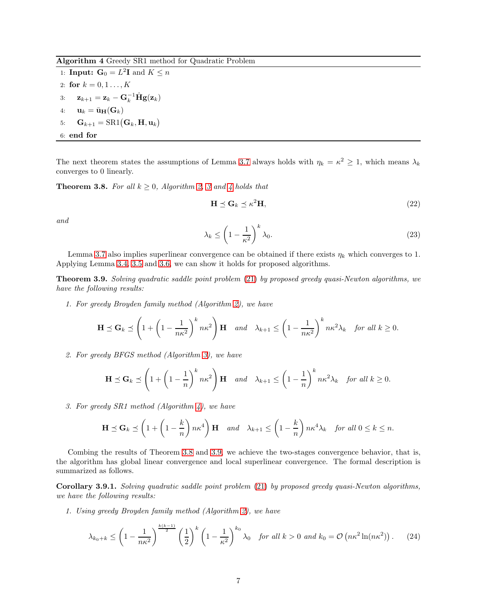<span id="page-6-0"></span>Algorithm 4 Greedy SR1 method for Quadratic Problem

1: **Input:**  $G_0 = L^2 I$  and  $K \leq n$ 2: for  $k = 0, 1, ..., K$ 3:  $\mathbf{z}_{k+1} = \mathbf{z}_k - \mathbf{G}_k^{-1} \hat{\mathbf{H}} \mathbf{g}(\mathbf{z}_k)$ 4:  $\mathbf{u}_k = \bar{\mathbf{u}}_{\mathbf{H}}(\mathbf{G}_k)$ 5:  $\mathbf{G}_{k+1} = \text{SR1}(\mathbf{G}_k, \mathbf{H}, \mathbf{u}_k)$ 6: end for

The next theorem states the assumptions of Lemma [3.7](#page-5-3) always holds with  $\eta_k = \kappa^2 \ge 1$ , which means  $\lambda_k$ converges to 0 linearly.

<span id="page-6-1"></span>**Theorem [3](#page-5-1).8.** For all  $k \geq 0$ , Algorithm [2,](#page-5-0) 3 and [4](#page-6-0) holds that

<span id="page-6-3"></span>
$$
\mathbf{H} \preceq \mathbf{G}_k \preceq \kappa^2 \mathbf{H},\tag{22}
$$

<span id="page-6-4"></span>and

$$
\lambda_k \le \left(1 - \frac{1}{\kappa^2}\right)^k \lambda_0. \tag{23}
$$

Lemma [3.7](#page-5-3) also implies superlinear convergence can be obtained if there exists  $\eta_k$  which converges to 1. Applying Lemma [3.4,](#page-4-3) [3.5](#page-4-4) and [3.6,](#page-4-5) we can show it holds for proposed algorithms.

<span id="page-6-2"></span>Theorem 3.9. Solving quadratic saddle point problem [\(21\)](#page-5-4) by proposed greedy quasi-Newton algorithms, we have the following results:

1. For greedy Broyden family method (Algorithm [2\)](#page-5-0), we have

$$
\mathbf{H} \preceq \mathbf{G}_k \preceq \left(1 + \left(1 - \frac{1}{n\kappa^2}\right)^k n\kappa^2\right) \mathbf{H} \quad \text{and} \quad \lambda_{k+1} \le \left(1 - \frac{1}{n\kappa^2}\right)^k n\kappa^2 \lambda_k \quad \text{for all } k \ge 0.
$$

2. For greedy BFGS method (Algorithm [3\)](#page-5-1), we have

$$
\mathbf{H} \preceq \mathbf{G}_k \preceq \left(1 + \left(1 - \frac{1}{n}\right)^k n\kappa^2\right) \mathbf{H} \quad \text{and} \quad \lambda_{k+1} \le \left(1 - \frac{1}{n}\right)^k n\kappa^2 \lambda_k \quad \text{for all } k \ge 0.
$$

3. For greedy SR1 method (Algorithm [4\)](#page-6-0), we have

$$
\mathbf{H} \preceq \mathbf{G}_k \preceq \left(1 + \left(1 - \frac{k}{n}\right)n\kappa^4\right)\mathbf{H} \quad \text{and} \quad \lambda_{k+1} \le \left(1 - \frac{k}{n}\right)n\kappa^4\lambda_k \quad \text{for all } 0 \le k \le n.
$$

Combing the results of Theorem [3.8](#page-6-1) and [3.9,](#page-6-2) we achieve the two-stages convergence behavior, that is, the algorithm has global linear convergence and local superlinear convergence. The formal description is summarized as follows.

<span id="page-6-5"></span>Corollary 3.9.1. Solving quadratic saddle point problem [\(21\)](#page-5-4) by proposed greedy quasi-Newton algorithms, we have the following results:

1. Using greedy Broyden family method (Algorithm [2\)](#page-5-0), we have

$$
\lambda_{k_0+k} \le \left(1 - \frac{1}{n\kappa^2}\right)^{\frac{k(k-1)}{2}} \left(\frac{1}{2}\right)^k \left(1 - \frac{1}{\kappa^2}\right)^{k_0} \lambda_0 \quad \text{for all } k > 0 \text{ and } k_0 = \mathcal{O}\left(n\kappa^2 \ln(n\kappa^2)\right). \tag{24}
$$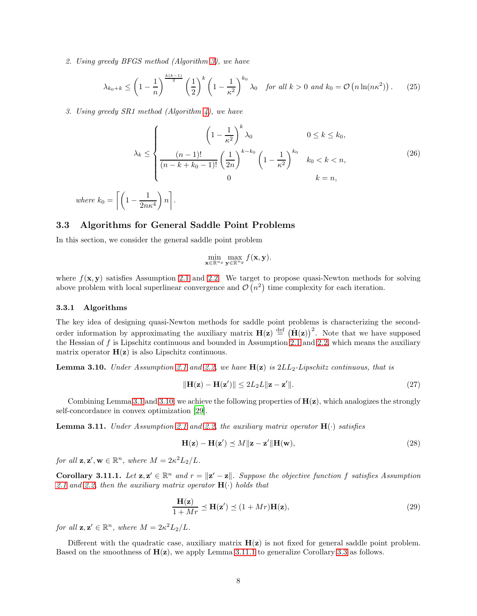2. Using greedy BFGS method (Algorithm [3\)](#page-5-1), we have

$$
\lambda_{k_0+k} \le \left(1-\frac{1}{n}\right)^{\frac{k(k-1)}{2}} \left(\frac{1}{2}\right)^k \left(1-\frac{1}{\kappa^2}\right)^{k_0} \lambda_0 \quad \text{for all } k>0 \text{ and } k_0=\mathcal{O}\left(n\ln(n\kappa^2)\right). \tag{25}
$$

3. Using greedy SR1 method (Algorithm [4\)](#page-6-0), we have

$$
\lambda_k \le \begin{cases}\n\left(1 - \frac{1}{\kappa^2}\right)^k \lambda_0 & 0 \le k \le k_0, \\
\frac{(n-1)!}{(n-k+k_0-1)!} \left(\frac{1}{2n}\right)^{k-k_0} \left(1 - \frac{1}{\kappa^2}\right)^{k_0} & k_0 < k < n,\n\end{cases}
$$
\n(26)

where 
$$
k_0 = \left[ \left( 1 - \frac{1}{2n\kappa^4} \right) n \right].
$$

#### <span id="page-7-4"></span>3.3 Algorithms for General Saddle Point Problems

In this section, we consider the general saddle point problem

$$
\min_{\mathbf{x}\in\mathbb{R}^{n_x}}\max_{\mathbf{y}\in\mathbb{R}^{n_y}}f(\mathbf{x},\mathbf{y}).
$$

where  $f(\mathbf{x}, \mathbf{y})$  satisfies Assumption [2.1](#page-2-3) and [2.2.](#page-2-4) We target to propose quasi-Newton methods for solving above problem with local superlinear convergence and  $\mathcal{O}(n^2)$  time complexity for each iteration.

#### <span id="page-7-2"></span>3.3.1 Algorithms

The key idea of designing quasi-Newton methods for saddle point problems is characterizing the secondorder information by approximating the auxiliary matrix  $H(z) \stackrel{\text{def}}{=} (\hat{H}(z))^2$ . Note that we have supposed the Hessian of  $f$  is Lipschitz continuous and bounded in Assumption [2.1](#page-2-3) and [2.2,](#page-2-4) which means the auxiliary matrix operator  $H(z)$  is also Lipschitz continuous.

<span id="page-7-0"></span>**Lemma 3.10.** Under Assumption [2.1](#page-2-3) and [2.2,](#page-2-4) we have  $H(z)$  is  $2LL_2$ -Lipschitz continuous, that is

<span id="page-7-5"></span>
$$
\|\mathbf{H}(\mathbf{z}) - \mathbf{H}(\mathbf{z}')\| \le 2L_2 L \|\mathbf{z} - \mathbf{z}'\|.
$$
 (27)

Combining Lemma [3.1](#page-2-5) and [3.10,](#page-7-0) we achieve the following properties of  $H(z)$ , which analogizes the strongly self-concordance in convex optimization [\[29](#page-15-11)].

<span id="page-7-3"></span>**Lemma 3.11.** Under Assumption [2.1](#page-2-3) and [2.2,](#page-2-4) the auxiliary matrix operator  $H(\cdot)$  satisfies

<span id="page-7-6"></span>
$$
\mathbf{H}(\mathbf{z}) - \mathbf{H}(\mathbf{z}') \preceq M \|\mathbf{z} - \mathbf{z}'\| \mathbf{H}(\mathbf{w}),\tag{28}
$$

for all  $\mathbf{z}, \mathbf{z}', \mathbf{w} \in \mathbb{R}^n$ , where  $M = 2\kappa^2 L_2/L$ .

<span id="page-7-1"></span>**Corollary 3.11.1.** Let  $\mathbf{z}, \mathbf{z}' \in \mathbb{R}^n$  and  $r = ||\mathbf{z}' - \mathbf{z}||$ . Suppose the objective function f satisfies Assumption [2.1](#page-2-3) and [2.2,](#page-2-4) then the auxiliary matrix operator  $H(\cdot)$  holds that

<span id="page-7-7"></span>
$$
\frac{\mathbf{H}(\mathbf{z})}{1+Mr} \preceq \mathbf{H}(\mathbf{z}') \preceq (1+Mr)\mathbf{H}(\mathbf{z}),\tag{29}
$$

for all  $\mathbf{z}, \mathbf{z}' \in \mathbb{R}^n$ , where  $M = 2\kappa^2 L_2/L$ .

Different with the quadratic case, auxiliary matrix  $H(z)$  is not fixed for general saddle point problem. Based on the smoothness of  $H(z)$ , we apply Lemma [3.11.1](#page-7-1) to generalize Corollary [3.3](#page-3-7) as follows.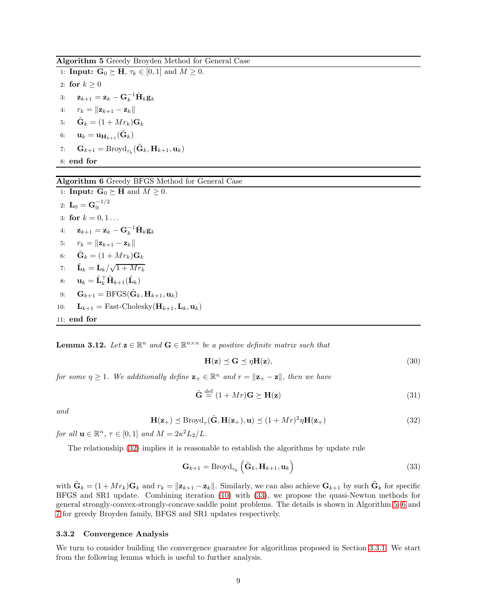<span id="page-8-0"></span>Algorithm 5 Greedy Broyden Method for General Case

1: **Input:**  $\mathbf{G}_0 \succeq \mathbf{H}, \tau_k \in [0, 1]$  and  $M \geq 0$ . 2: for  $k > 0$ 3:  $\mathbf{z}_{k+1} = \mathbf{z}_k - \mathbf{G}_k^{-1} \hat{\mathbf{H}}_k \mathbf{g}_k$ 4:  $r_k = ||\mathbf{z}_{k+1} - \mathbf{z}_k||$ 5:  $\tilde{\mathbf{G}}_k = (1 + Mr_k)\mathbf{G}_k$ 6:  $\mathbf{u}_k = \mathbf{u}_{\mathbf{H}_{k+1}}(\tilde{\mathbf{G}}_k)$ 7:  $\mathbf{G}_{k+1} = \text{Broyd}_{\tau_k}(\tilde{\mathbf{G}}_k, \mathbf{H}_{k+1}, \mathbf{u}_k)$ 8: end for

### <span id="page-8-1"></span>Algorithm 6 Greedy BFGS Method for General Case

1: **Input:**  $G_0 \succeq H$  and  $M \geq 0$ . 2:  ${\bf L}_0 = {\bf G}_0^{-1/2}$ 3: for  $k = 0, 1...$ 4:  $\mathbf{z}_{k+1} = \mathbf{z}_k - \mathbf{G}_k^{-1} \hat{\mathbf{H}}_k \mathbf{g}_k$ 5:  $r_k = ||\mathbf{z}_{k+1} - \mathbf{z}_k||$ 6:  $\tilde{\mathbf{G}}_k = (1 + Mr_k) \mathbf{G}_k$ 7:  $\tilde{\mathbf{L}}_k = \mathbf{L}_k / \sqrt{1 + Mr_k}$ 8:  $\mathbf{u}_k = \tilde{\mathbf{L}}_k^{\top} \tilde{\mathbf{H}}_{k+1}(\tilde{\mathbf{L}}_k)$ 9:  $\mathbf{G}_{k+1} = \text{BFGS}(\tilde{\mathbf{G}}_k, \mathbf{H}_{k+1}, \mathbf{u}_k)$ 10:  $\mathbf{L}_{k+1} = \text{Fast-Cholesky}(\mathbf{H}_{k+1}, \mathbf{L}_k, \mathbf{u}_k)$ 11: end for

<span id="page-8-4"></span>**Lemma 3.12.** Let  $\mathbf{z} \in \mathbb{R}^n$  and  $\mathbf{G} \in \mathbb{R}^{n \times n}$  be a positive definite matrix such that

<span id="page-8-6"></span><span id="page-8-5"></span>
$$
\mathbf{H}(\mathbf{z}) \preceq \mathbf{G} \preceq \eta \mathbf{H}(\mathbf{z}),\tag{30}
$$

for some  $\eta \geq 1$ . We additionally define  $\mathbf{z}_+ \in \mathbb{R}^n$  and  $r = ||\mathbf{z}_+ - \mathbf{z}||$ , then we have

<span id="page-8-3"></span>
$$
\tilde{\mathbf{G}} \stackrel{\text{def}}{=} (1 + Mr)\mathbf{G} \succeq \mathbf{H}(\mathbf{z}) \tag{31}
$$

<span id="page-8-2"></span>and

$$
\mathbf{H}(\mathbf{z}_{+}) \preceq \text{Broyd}_{\tau}(\tilde{\mathbf{G}}, \mathbf{H}(\mathbf{z}_{+}), \mathbf{u}) \preceq (1 + Mr)^{2} \eta \mathbf{H}(\mathbf{z}_{+})
$$
\n(32)

for all  $\mathbf{u} \in \mathbb{R}^n$ ,  $\tau \in [0,1]$  and  $M = 2\kappa^2 L_2/L$ .

The relationship [\(32\)](#page-8-2) implies it is reasonable to establish the algorithms by update rule

$$
\mathbf{G}_{k+1} = \text{Broyd}_{\tau_k} \left( \tilde{\mathbf{G}}_k, \mathbf{H}_{k+1}, \mathbf{u}_k \right)
$$
 (33)

with  $\tilde{\mathbf{G}}_k = (1 + Mr_k)\mathbf{G}_k$  and  $r_k = ||\mathbf{z}_{k+1} - \mathbf{z}_k||$ . Similarly, we can also achieve  $\mathbf{G}_{k+1}$  by such  $\tilde{\mathbf{G}}_k$  for specific BFGS and SR1 update. Combining iteration [\(10\)](#page-3-1) with [\(33\)](#page-8-3), we propose the quasi-Newton methods for general strongly-convex-strongly-concave saddle point problems. The details is shown in Algorithm [5,](#page-8-0) [6](#page-8-1) and [7](#page-9-0) for greedy Broyden family, BFGS and SR1 updates respectively.

### <span id="page-8-7"></span>3.3.2 Convergence Analysis

We turn to consider building the convergence guarantee for algorithms proposed in Section [3.3.1.](#page-7-2) We start from the following lemma which is useful to further analysis.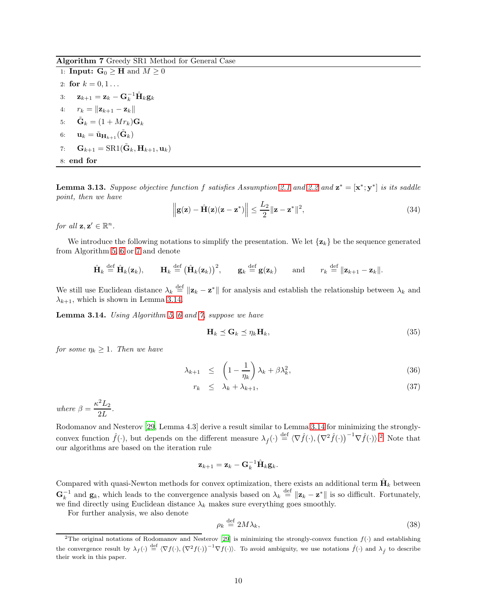<span id="page-9-0"></span>Algorithm 7 Greedy SR1 Method for General Case

1: **Input:**  $\mathbf{G}_0 \geq \mathbf{H}$  and  $M \geq 0$ 2: for  $k = 0, 1...$ 3:  $\mathbf{z}_{k+1} = \mathbf{z}_k - \mathbf{G}_k^{-1} \hat{\mathbf{H}}_k \mathbf{g}_k$ 4:  $r_k = ||\mathbf{z}_{k+1} - \mathbf{z}_k||$ 5:  $\tilde{\mathbf{G}}_k = (1 + Mr_k) \mathbf{G}_k$ 6:  $\mathbf{u}_k = \tilde{\mathbf{u}}_{\mathbf{H}_{k+1}}(\tilde{\mathbf{G}}_k)$ 7:  $\mathbf{G}_{k+1} = \text{SR1}(\tilde{\mathbf{G}}_k, \mathbf{H}_{k+1}, \mathbf{u}_k)$ 8: end for

<span id="page-9-3"></span>**Lemma 3.13.** Suppose objective function f satisfies Assumption [2.1](#page-2-3) and [2.2](#page-2-4) and  $\mathbf{z}^* = [\mathbf{x}^*; \mathbf{y}^*]$  is its saddle point, then we have

<span id="page-9-5"></span>
$$
\left\| \mathbf{g}(\mathbf{z}) - \hat{\mathbf{H}}(\mathbf{z})(\mathbf{z} - \mathbf{z}^*) \right\| \le \frac{L_2}{2} \|\mathbf{z} - \mathbf{z}^*\|^2,
$$
\n(34)

for all  $\mathbf{z}, \mathbf{z}' \in \mathbb{R}^n$ .

We introduce the following notations to simplify the presentation. We let  $\{z_k\}$  be the sequence generated from Algorithm [5,](#page-8-0) [6](#page-8-1) or [7](#page-9-0) and denote

$$
\hat{\mathbf{H}}_k \stackrel{\text{def}}{=} \hat{\mathbf{H}}_k(\mathbf{z}_k), \qquad \mathbf{H}_k \stackrel{\text{def}}{=} (\hat{\mathbf{H}}_k(\mathbf{z}_k))^2, \qquad \mathbf{g}_k \stackrel{\text{def}}{=} \mathbf{g}(\mathbf{z}_k) \qquad \text{and} \qquad r_k \stackrel{\text{def}}{=} ||\mathbf{z}_{k+1} - \mathbf{z}_k||.
$$

We still use Euclidean distance  $\lambda_k \stackrel{\text{def}}{=} ||\mathbf{z}_k - \mathbf{z}^*||$  for analysis and establish the relationship between  $\lambda_k$  and  $\lambda_{k+1}$ , which is shown in Lemma [3.14.](#page-9-1)

<span id="page-9-1"></span>Lemma 3.14. Using Algorithm [5,](#page-8-0) [6](#page-8-1) and [7,](#page-9-0) suppose we have

<span id="page-9-4"></span>
$$
\mathbf{H}_k \preceq \mathbf{G}_k \preceq \eta_k \mathbf{H}_k,\tag{35}
$$

for some  $\eta_k \geq 1$ . Then we have

<span id="page-9-6"></span>
$$
\lambda_{k+1} \leq \left(1 - \frac{1}{\eta_k}\right) \lambda_k + \beta \lambda_k^2, \tag{36}
$$

$$
r_k \leq \lambda_k + \lambda_{k+1}, \tag{37}
$$

where  $\beta = \frac{\kappa^2 L_2}{2L_1}$  $\frac{2L}{2L}$ .

Rodomanov and Nesterov [\[29,](#page-15-11) Lemma 4.3] derive a result similar to Lemma [3.14](#page-9-1) for minimizing the stronglyconvex function  $\hat{f}(\cdot)$ , but depends on the different measure  $\lambda_{\hat{f}}(\cdot) \stackrel{\text{def}}{=} \langle \nabla \hat{f}(\cdot), (\nabla^2 \hat{f}(\cdot))^{-1} \nabla \hat{f}(\cdot) \rangle^2$  $\lambda_{\hat{f}}(\cdot) \stackrel{\text{def}}{=} \langle \nabla \hat{f}(\cdot), (\nabla^2 \hat{f}(\cdot))^{-1} \nabla \hat{f}(\cdot) \rangle^2$  $\lambda_{\hat{f}}(\cdot) \stackrel{\text{def}}{=} \langle \nabla \hat{f}(\cdot), (\nabla^2 \hat{f}(\cdot))^{-1} \nabla \hat{f}(\cdot) \rangle^2$ . Note that our algorithms are based on the iteration rule

$$
\mathbf{z}_{k+1} = \mathbf{z}_k - \mathbf{G}_k^{-1} \hat{\mathbf{H}}_k \mathbf{g}_k.
$$

Compared with quasi-Newton methods for convex optimization, there exists an additional term  $\hat{H}_k$  between  $\mathbf{G}_k^{-1}$  and  $\mathbf{g}_k$ , which leads to the convergence analysis based on  $\lambda_k \stackrel{\text{def}}{=} ||\mathbf{z}_k - \mathbf{z}^*||$  is so difficult. Fortunately, we find directly using Euclidean distance  $\lambda_k$  makes sure everything goes smoothly.

For further analysis, we also denote

<span id="page-9-7"></span>
$$
\rho_k \stackrel{\text{def}}{=} 2M\lambda_k,\tag{38}
$$

<span id="page-9-2"></span><sup>&</sup>lt;sup>2</sup>The original notations of Rodomanov and Nesterov [\[29](#page-15-11)] is minimizing the strongly-convex function  $f(\cdot)$  and establishing the convergence result by  $\lambda_f(\cdot) \stackrel{\text{def}}{=} \langle \nabla f(\cdot), (\nabla^2 f(\cdot))^{-1} \nabla f(\cdot) \rangle$ . To avoid ambiguity, we use notations  $\hat{f}(\cdot)$  and  $\lambda_f$  to describe their work in this paper.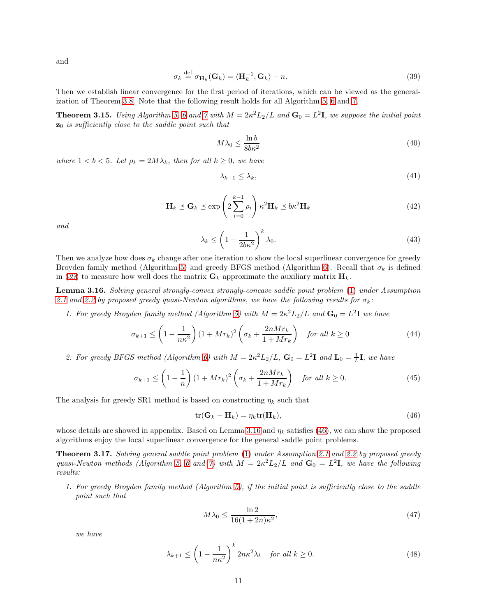and

<span id="page-10-0"></span>
$$
\sigma_k \stackrel{\text{def}}{=} \sigma_{\mathbf{H}_k}(\mathbf{G}_k) = \langle \mathbf{H}_k^{-1}, \mathbf{G}_k \rangle - n. \tag{39}
$$

Then we establish linear convergence for the first period of iterations, which can be viewed as the generalization of Theorem [3.8.](#page-6-1) Note that the following result holds for all Algorithm [5,](#page-8-0) [6](#page-8-1) and [7.](#page-9-0)

<span id="page-10-3"></span>**Theorem 3.15.** Using Algorithm [5,](#page-8-0) [6](#page-8-1) and [7](#page-9-0) with  $M = 2\kappa^2 L_2/L$  and  $\mathbf{G}_0 = L^2 \mathbf{I}$ , we suppose the initial point  $z_0$  is sufficiently close to the saddle point such that

<span id="page-10-7"></span>
$$
M\lambda_0 \le \frac{\ln b}{8b\kappa^2} \tag{40}
$$

<span id="page-10-6"></span>where  $1 < b < 5$ . Let  $\rho_k = 2M\lambda_k$ , then for all  $k \geq 0$ , we have

<span id="page-10-8"></span>
$$
\lambda_{k+1} \le \lambda_k,\tag{41}
$$

$$
\mathbf{H}_{k} \preceq \mathbf{G}_{k} \preceq \exp\left(2\sum_{i=0}^{k-1} \rho_{i}\right) \kappa^{2} \mathbf{H}_{k} \preceq b\kappa^{2} \mathbf{H}_{k} \tag{42}
$$

<span id="page-10-5"></span>and

$$
\lambda_k \le \left(1 - \frac{1}{2b\kappa^2}\right)^k \lambda_0. \tag{43}
$$

Then we analyze how does  $\sigma_k$  change after one iteration to show the local superlinear convergence for greedy Broyden family method (Algorithm [5\)](#page-8-0) and greedy BFGS method (Algorithm [6\)](#page-8-1). Recall that  $\sigma_k$  is defined in [\(39\)](#page-10-0) to measure how well does the matrix  $\mathbf{G}_k$  approximate the auxiliary matrix  $\mathbf{H}_k$ .

<span id="page-10-1"></span>Lemma 3.16. Solving general strongly-convex strongly-concave saddle point problem [\(1\)](#page-0-0) under Assumption [2.1](#page-2-3) and [2.2](#page-2-4) by proposed greedy quasi-Newton algorithms, we have the following results for  $\sigma_k$ :

1. For greedy Broyden family method (Algorithm [5\)](#page-8-0) with  $M = 2\kappa^2 L_2/L$  and  $G_0 = L^2 I$  we have

<span id="page-10-10"></span>
$$
\sigma_{k+1} \le \left(1 - \frac{1}{n\kappa^2}\right) \left(1 + Mr_k\right)^2 \left(\sigma_k + \frac{2nMr_k}{1 + Mr_k}\right) \quad \text{for all } k \ge 0 \tag{44}
$$

2. For greedy BFGS method (Algorithm [6\)](#page-8-1) with  $M = 2\kappa^2 L_2/L$ ,  $G_0 = L^2 I$  and  $L_0 = \frac{1}{L}I$ , we have

<span id="page-10-9"></span>
$$
\sigma_{k+1} \le \left(1 - \frac{1}{n}\right)(1 + Mr_k)^2 \left(\sigma_k + \frac{2nMr_k}{1 + Mr_k}\right) \quad \text{for all } k \ge 0. \tag{45}
$$

The analysis for greedy SR1 method is based on constructing  $\eta_k$  such that

<span id="page-10-2"></span>
$$
\operatorname{tr}(\mathbf{G}_k - \mathbf{H}_k) = \eta_k \operatorname{tr}(\mathbf{H}_k),\tag{46}
$$

whose details are showed in appendix. Based on Lemma [3.16](#page-10-1) and  $\eta_k$  satisfies [\(46\)](#page-10-2), we can show the proposed algorithms enjoy the local superlinear convergence for the general saddle point problems.

<span id="page-10-4"></span>Theorem 3.17. Solving general saddle point problem [\(1\)](#page-0-0) under Assumption [2.1](#page-2-3) and [2.2](#page-2-4) by proposed greedy quasi-Newton methods (Algorithm [5,](#page-8-0) [6](#page-8-1) and [7\)](#page-9-0) with  $M = 2\kappa^2 L_2/L$  and  $G_0 = L^2 I$ , we have the following results:

1. For greedy Broyden family method (Algorithm [5\)](#page-8-0), if the initial point is sufficiently close to the saddle point such that

<span id="page-10-12"></span>
$$
M\lambda_0 \le \frac{\ln 2}{16(1+2n)\kappa^2},\tag{47}
$$

we have

<span id="page-10-11"></span>
$$
\lambda_{k+1} \le \left(1 - \frac{1}{n\kappa^2}\right)^k 2n\kappa^2 \lambda_k \quad \text{for all } k \ge 0. \tag{48}
$$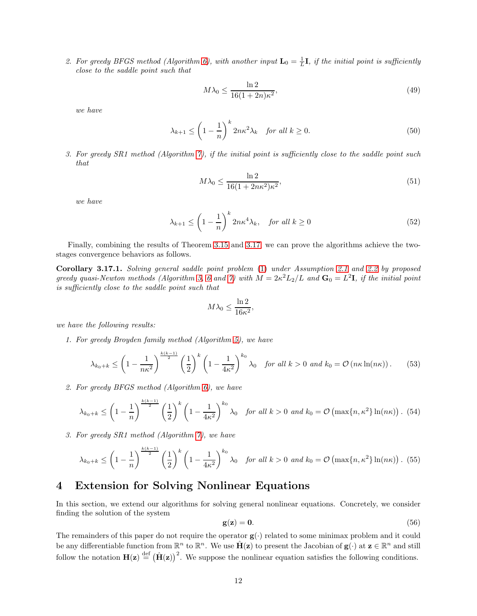2. For greedy BFGS method (Algorithm [6\)](#page-8-1), with another input  $\mathbf{L}_0 = \frac{1}{L}\mathbf{I}$ , if the initial point is sufficiently close to the saddle point such that

<span id="page-11-3"></span>
$$
M\lambda_0 \le \frac{\ln 2}{16(1+2n)\kappa^2},\tag{49}
$$

we have

<span id="page-11-4"></span>
$$
\lambda_{k+1} \le \left(1 - \frac{1}{n}\right)^k 2n\kappa^2 \lambda_k \quad \text{for all } k \ge 0.
$$
 (50)

3. For greedy SR1 method (Algorithm [7\)](#page-9-0), if the initial point is sufficiently close to the saddle point such that

<span id="page-11-5"></span>
$$
M\lambda_0 \le \frac{\ln 2}{16(1 + 2n\kappa^2)\kappa^2},\tag{51}
$$

we have

<span id="page-11-6"></span>
$$
\lambda_{k+1} \le \left(1 - \frac{1}{n}\right)^k 2n\kappa^4 \lambda_k, \quad \text{for all } k \ge 0 \tag{52}
$$

Finally, combining the results of Theorem [3.15](#page-10-3) and [3.17,](#page-10-4) we can prove the algorithms achieve the twostages convergence behaviors as follows.

<span id="page-11-0"></span>Corollary 3.17.1. Solving general saddle point problem [\(1\)](#page-0-0) under Assumption [2.1](#page-2-3) and [2.2](#page-2-4) by proposed greedy quasi-Newton methods (Algorithm [5,](#page-8-0) [6](#page-8-1) and [7\)](#page-9-0) with  $M = 2\kappa^2 L_2/L$  and  $G_0 = L^2 I$ , if the initial point is sufficiently close to the saddle point such that

$$
M\lambda_0 \le \frac{\ln 2}{16\kappa^2},
$$

we have the following results:

1. For greedy Broyden family method (Algorithm [5\)](#page-8-0), we have

$$
\lambda_{k_0+k} \le \left(1 - \frac{1}{n\kappa^2}\right)^{\frac{k(k-1)}{2}} \left(\frac{1}{2}\right)^k \left(1 - \frac{1}{4\kappa^2}\right)^{k_0} \lambda_0 \quad \text{for all } k > 0 \text{ and } k_0 = \mathcal{O}\left(n\kappa \ln(n\kappa)\right). \tag{53}
$$

2. For greedy BFGS method (Algorithm [6\)](#page-8-1), we have

$$
\lambda_{k_0+k} \le \left(1-\frac{1}{n}\right)^{\frac{k(k-1)}{2}} \left(\frac{1}{2}\right)^k \left(1-\frac{1}{4\kappa^2}\right)^{k_0} \lambda_0 \quad \text{for all } k>0 \text{ and } k_0=\mathcal{O}\left(\max\{n,\kappa^2\}\ln(n\kappa)\right). \tag{54}
$$

3. For greedy SR1 method (Algorithm [7\)](#page-9-0), we have

$$
\lambda_{k_0+k} \le \left(1-\frac{1}{n}\right)^{\frac{k(k-1)}{2}} \left(\frac{1}{2}\right)^k \left(1-\frac{1}{4\kappa^2}\right)^{k_0} \lambda_0 \quad \text{for all } k>0 \text{ and } k_0=\mathcal{O}\left(\max\{n,\kappa^2\}\ln(n\kappa)\right). \tag{55}
$$

## <span id="page-11-1"></span>4 Extension for Solving Nonlinear Equations

In this section, we extend our algorithms for solving general nonlinear equations. Concretely, we consider finding the solution of the system

<span id="page-11-2"></span>
$$
\mathbf{g}(\mathbf{z}) = \mathbf{0}.\tag{56}
$$

The remainders of this paper do not require the operator  $g(\cdot)$  related to some minimax problem and it could be any differentiable function from  $\mathbb{R}^n$  to  $\mathbb{R}^n$ . We use  $\hat{H}(z)$  to present the Jacobian of  $g(\cdot)$  at  $z \in \mathbb{R}^n$  and still follow the notation  $H(z) \stackrel{\text{def}}{=} (\hat{H}(z))^2$ . We suppose the nonlinear equation satisfies the following conditions.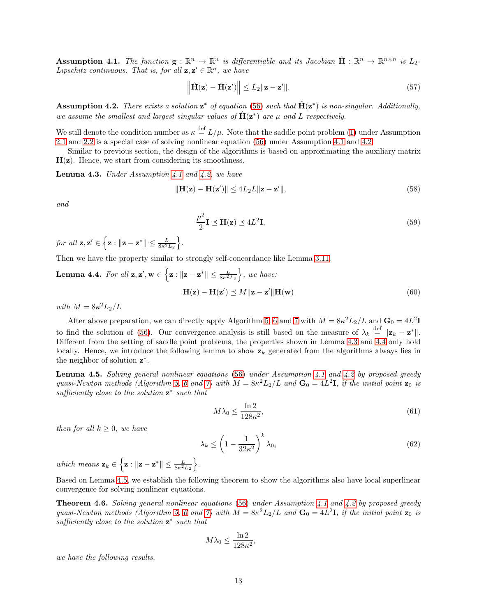<span id="page-12-0"></span>Assumption 4.1. The function  $g: \mathbb{R}^n \to \mathbb{R}^n$  is differentiable and its Jacobian  $\hat{H}: \mathbb{R}^n \to \mathbb{R}^{n \times n}$  is  $L_2$ . Lipschitz continuous. That is, for all  $z, z' \in \mathbb{R}^n$ , we have

$$
\left\| \hat{\mathbf{H}}(\mathbf{z}) - \hat{\mathbf{H}}(\mathbf{z}') \right\| \le L_2 \|\mathbf{z} - \mathbf{z}'\|.
$$
\n(57)

<span id="page-12-1"></span>**Assumption 4.2.** There exists a solution  $z^*$  of equation [\(56\)](#page-11-2) such that  $\hat{H}(z^*)$  is non-singular. Additionally, we assume the smallest and largest singular values of  $\hat{H}(z^*)$  are  $\mu$  and L respectively.

We still denote the condition number as  $\kappa \stackrel{\text{def}}{=} L/\mu$ . Note that the saddle point problem [\(1\)](#page-0-0) under Assumption [2.1](#page-2-3) and [2.2](#page-2-4) is a special case of solving nonlinear equation [\(56\)](#page-11-2) under Assumption [4.1](#page-12-0) and [4.2.](#page-12-1)

Similar to previous section, the design of the algorithms is based on approximating the auxiliary matrix  $H(z)$ . Hence, we start from considering its smoothness.

<span id="page-12-2"></span>**Lemma 4.3.** Under Assumption [4.1](#page-12-0) and [4.2,](#page-12-1) we have

<span id="page-12-6"></span>
$$
\|\mathbf{H}(\mathbf{z}) - \mathbf{H}(\mathbf{z}')\| \le 4L_2 L \|\mathbf{z} - \mathbf{z}'\|,\tag{58}
$$

and

<span id="page-12-8"></span><span id="page-12-7"></span>
$$
\frac{\mu^2}{2}\mathbf{I} \preceq \mathbf{H}(\mathbf{z}) \preceq 4L^2\mathbf{I},\tag{59}
$$

for all  $\mathbf{z}, \mathbf{z}' \in \left\{ \mathbf{z} : ||\mathbf{z} - \mathbf{z}^*|| \leq \frac{L}{8\kappa^2 L_2} \right\}$  $\big\}$ .

Then we have the property similar to strongly self-concordance like Lemma [3.11.](#page-7-3)

<span id="page-12-3"></span>**Lemma 4.4.** For all 
$$
\mathbf{z}, \mathbf{z}', \mathbf{w} \in \left\{ \mathbf{z} : ||\mathbf{z} - \mathbf{z}^*|| \le \frac{L}{8\kappa^2 L_2} \right\}
$$
, we have:  
\n
$$
\mathbf{H}(\mathbf{z}) - \mathbf{H}(\mathbf{z}') \preceq M || \mathbf{z} - \mathbf{z}' || \mathbf{H}(\mathbf{w})
$$
\n(60)

with  $M = 8\kappa^2 L_2/L$ 

After above preparation, we can directly apply Algorithm [5,](#page-8-0) [6](#page-8-1) and [7](#page-9-0) with  $M = 8\kappa^2 L_2/L$  and  $G_0 = 4L^2 I$ to find the solution of [\(56\)](#page-11-2). Our convergence analysis is still based on the measure of  $\lambda_k \stackrel{\text{def}}{=} ||\mathbf{z}_k - \mathbf{z}^*||$ . Different from the setting of saddle point problems, the properties shown in Lemma [4.3](#page-12-2) and [4.4](#page-12-3) only hold locally. Hence, we introduce the following lemma to show  $z_k$  generated from the algorithms always lies in the neighbor of solution  $z^*$ .

<span id="page-12-4"></span>**Lemma 4.5.** Solving general nonlinear equations [\(56\)](#page-11-2) under Assumption [4.1](#page-12-0) and [4.2](#page-12-1) by proposed greedy quasi-Newton methods (Algorithm [5,](#page-8-0) [6](#page-8-1) and [7\)](#page-9-0) with  $M = 8\kappa^2 L_2/L$  and  $G_0 = 4L^2 I$ , if the initial point  $z_0$  is sufficiently close to the solution  $z^*$  such that

$$
M\lambda_0 \le \frac{\ln 2}{128\kappa^2},\tag{61}
$$

then for all  $k > 0$ , we have

$$
\lambda_k \le \left(1 - \frac{1}{32\kappa^2}\right)^k \lambda_0,\tag{62}
$$

which means  $\mathbf{z}_k \in \left\{ \mathbf{z} : ||\mathbf{z} - \mathbf{z}^*|| \leq \frac{L}{8\kappa^2 L_2} \right\}$  $\big\}$ .

Based on Lemma [4.5,](#page-12-4) we establish the following theorem to show the algorithms also have local superlinear convergence for solving nonlinear equations.

<span id="page-12-5"></span>**Theorem 4.6.** Solving general nonlinear equations [\(56\)](#page-11-2) under Assumption [4.1](#page-12-0) and [4.2](#page-12-1) by proposed greedy quasi-Newton methods (Algorithm [5,](#page-8-0) [6](#page-8-1) and [7\)](#page-9-0) with  $M = 8\kappa^2 L_2/L$  and  $G_0 = 4L^2 I$ , if the initial point  $z_0$  is sufficiently close to the solution  $z^*$  such that

$$
M\lambda_0 \le \frac{\ln 2}{128\kappa^2},
$$

we have the following results.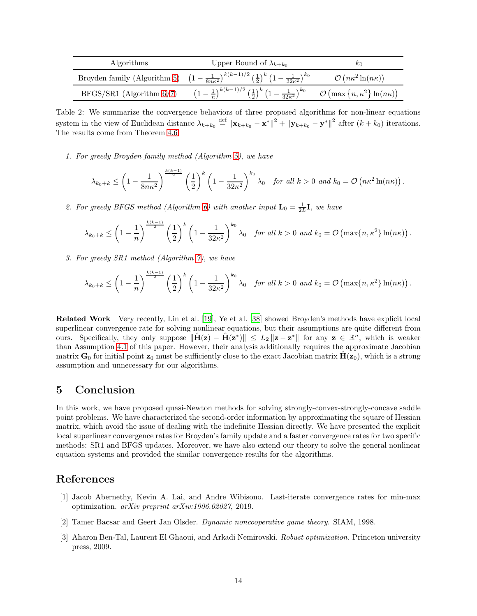| Algorithms                    | Upper Bound of $\lambda_{k+k_0}$                                                                                                                   | $\kappa_0$                                    |
|-------------------------------|----------------------------------------------------------------------------------------------------------------------------------------------------|-----------------------------------------------|
|                               | Broyden family (Algorithm 5) $\left(1-\frac{1}{8n\kappa^2}\right)^{k(k-1)/2} \left(\frac{1}{2}\right)^k \left(1-\frac{1}{32\kappa^2}\right)^{k_0}$ | $\mathcal{O}(n\kappa^2\ln(n\kappa))$          |
| $BFGS/SR1$ (Algorithm $6/7$ ) | $\left(1-\frac{1}{n}\right)^{k(k-1)/2}\left(\frac{1}{2}\right)^k\left(1-\frac{1}{32\kappa^2}\right)^{k_0}$                                         | $\mathcal{O}(\max\{n,\kappa^2\}\ln(n\kappa))$ |

Table 2: We summarize the convergence behaviors of three proposed algorithms for non-linear equations system in the view of Euclidean distance  $\lambda_{k+k_0} \stackrel{\text{def}}{=} ||\mathbf{x}_{k+k_0} - \mathbf{x}^*||^2 + ||\mathbf{y}_{k+k_0} - \mathbf{y}^*||^2$  after  $(k+k_0)$  iterations. The results come from Theorem [4.6.](#page-12-5)

1. For greedy Broyden family method (Algorithm [5\)](#page-8-0), we have

$$
\lambda_{k_0+k} \leq \left(1-\frac{1}{8n\kappa^2}\right)^{\frac{k(k-1)}{2}} \left(\frac{1}{2}\right)^k \left(1-\frac{1}{32\kappa^2}\right)^{k_0} \lambda_0 \quad \text{for all } k>0 \text{ and } k_0=\mathcal{O}\left(n\kappa^2\ln(n\kappa)\right).
$$

2. For greedy BFGS method (Algorithm [6\)](#page-8-1) with another input  $\mathbf{L}_0 = \frac{1}{2L}\mathbf{I}$ , we have

$$
\lambda_{k_0+k} \le \left(1-\frac{1}{n}\right)^{\frac{k(k-1)}{2}} \left(\frac{1}{2}\right)^k \left(1-\frac{1}{32\kappa^2}\right)^{k_0} \lambda_0 \quad \text{for all } k>0 \text{ and } k_0=\mathcal{O}\left(\max\{n,\kappa^2\}\ln(n\kappa)\right).
$$

3. For greedy SR1 method (Algorithm [7\)](#page-9-0), we have

$$
\lambda_{k_0+k} \le \left(1-\frac{1}{n}\right)^{\frac{k(k-1)}{2}} \left(\frac{1}{2}\right)^k \left(1-\frac{1}{32\kappa^2}\right)^{k_0} \lambda_0 \quad \text{for all } k>0 \text{ and } k_0=\mathcal{O}\left(\max\{n,\kappa^2\}\ln(n\kappa)\right).
$$

Related Work Very recently, Lin et al. [\[19\]](#page-14-19), Ye et al. [\[38\]](#page-15-17) showed Broyden's methods have explicit local superlinear convergence rate for solving nonlinear equations, but their assumptions are quite different from ours. Specifically, they only suppose  $\|\hat{\mathbf{H}}(\mathbf{z}) - \hat{\mathbf{H}}(\mathbf{z}^*)\| \le L_2 \|\mathbf{z} - \mathbf{z}^*\|$  for any  $\mathbf{z} \in \mathbb{R}^n$ , which is weaker than Assumption [4.1](#page-12-0) of this paper. However, their analysis additionally requires the approximate Jacobian matrix  $G_0$  for initial point  $z_0$  must be sufficiently close to the exact Jacobian matrix  $H(z_0)$ , which is a strong assumption and unnecessary for our algorithms.

## <span id="page-13-2"></span>5 Conclusion

In this work, we have proposed quasi-Newton methods for solving strongly-convex-strongly-concave saddle point problems. We have characterized the second-order information by approximating the square of Hessian matrix, which avoid the issue of dealing with the indefinite Hessian directly. We have presented the explicit local superlinear convergence rates for Broyden's family update and a faster convergence rates for two specific methods: SR1 and BFGS updates. Moreover, we have also extend our theory to solve the general nonlinear equation systems and provided the similar convergence results for the algorithms.

## References

- <span id="page-13-3"></span>[1] Jacob Abernethy, Kevin A. Lai, and Andre Wibisono. Last-iterate convergence rates for min-max optimization. arXiv preprint arXiv:1906.02027, 2019.
- <span id="page-13-0"></span>[2] Tamer Bacsar and Geert Jan Olsder. Dynamic noncooperative game theory. SIAM, 1998.
- <span id="page-13-1"></span>[3] Aharon Ben-Tal, Laurent El Ghaoui, and Arkadi Nemirovski. Robust optimization. Princeton university press, 2009.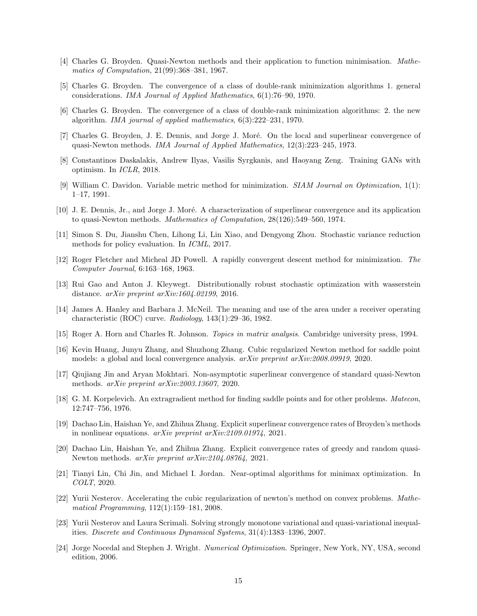- <span id="page-14-9"></span>[4] Charles G. Broyden. Quasi-Newton methods and their application to function minimisation. Mathematics of Computation, 21(99):368–381, 1967.
- <span id="page-14-10"></span>[5] Charles G. Broyden. The convergence of a class of double-rank minimization algorithms 1. general considerations. IMA Journal of Applied Mathematics, 6(1):76–90, 1970.
- <span id="page-14-11"></span>[6] Charles G. Broyden. The convergence of a class of double-rank minimization algorithms: 2. the new algorithm. IMA journal of applied mathematics, 6(3):222–231, 1970.
- <span id="page-14-14"></span>[7] Charles G. Broyden, J. E. Dennis, and Jorge J. Moré. On the local and superlinear convergence of quasi-Newton methods. IMA Journal of Applied Mathematics, 12(3):223–245, 1973.
- <span id="page-14-4"></span>[8] Constantinos Daskalakis, Andrew Ilyas, Vasilis Syrgkanis, and Haoyang Zeng. Training GANs with optimism. In ICLR, 2018.
- <span id="page-14-12"></span>[9] William C. Davidon. Variable metric method for minimization. SIAM Journal on Optimization, 1(1): 1–17, 1991.
- <span id="page-14-15"></span>[10] J. E. Dennis, Jr., and Jorge J. Moré. A characterization of superlinear convergence and its application to quasi-Newton methods. Mathematics of Computation, 28(126):549–560, 1974.
- <span id="page-14-2"></span>[11] Simon S. Du, Jianshu Chen, Lihong Li, Lin Xiao, and Dengyong Zhou. Stochastic variance reduction methods for policy evaluation. In ICML, 2017.
- <span id="page-14-13"></span>[12] Roger Fletcher and Micheal JD Powell. A rapidly convergent descent method for minimization. The Computer Journal, 6:163–168, 1963.
- <span id="page-14-1"></span>[13] Rui Gao and Anton J. Kleywegt. Distributionally robust stochastic optimization with wasserstein distance. arXiv preprint arXiv:1604.02199, 2016.
- <span id="page-14-0"></span>[14] James A. Hanley and Barbara J. McNeil. The meaning and use of the area under a receiver operating characteristic (ROC) curve. Radiology, 143(1):29–36, 1982.
- <span id="page-14-20"></span>[15] Roger A. Horn and Charles R. Johnson. Topics in matrix analysis. Cambridge university press, 1994.
- <span id="page-14-7"></span>[16] Kevin Huang, Junyu Zhang, and Shuzhong Zhang. Cubic regularized Newton method for saddle point models: a global and local convergence analysis. arXiv preprint arXiv:2008.09919, 2020.
- <span id="page-14-17"></span>[17] Qiujiang Jin and Aryan Mokhtari. Non-asymptotic superlinear convergence of standard quasi-Newton methods. arXiv preprint arXiv:2003.13607, 2020.
- <span id="page-14-3"></span>[18] G. M. Korpelevich. An extragradient method for finding saddle points and for other problems. *Matecon*, 12:747–756, 1976.
- <span id="page-14-19"></span>[19] Dachao Lin, Haishan Ye, and Zhihua Zhang. Explicit superlinear convergence rates of Broyden's methods in nonlinear equations. arXiv preprint arXiv:2109.01974, 2021.
- <span id="page-14-16"></span>[20] Dachao Lin, Haishan Ye, and Zhihua Zhang. Explicit convergence rates of greedy and random quasi-Newton methods. arXiv preprint arXiv:2104.08764, 2021.
- <span id="page-14-6"></span>[21] Tianyi Lin, Chi Jin, and Michael I. Jordan. Near-optimal algorithms for minimax optimization. In COLT, 2020.
- <span id="page-14-8"></span>[22] Yurii Nesterov. Accelerating the cubic regularization of newton's method on convex problems. Mathematical Programming, 112(1):159–181, 2008.
- <span id="page-14-5"></span>[23] Yurii Nesterov and Laura Scrimali. Solving strongly monotone variational and quasi-variational inequalities. Discrete and Continuous Dynamical Systems, 31(4):1383–1396, 2007.
- <span id="page-14-18"></span>[24] Jorge Nocedal and Stephen J. Wright. Numerical Optimization. Springer, New York, NY, USA, second edition, 2006.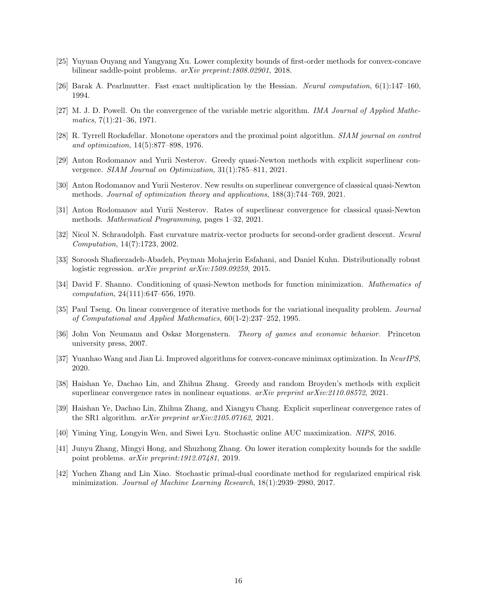- <span id="page-15-7"></span>[25] Yuyuan Ouyang and Yangyang Xu. Lower complexity bounds of first-order methods for convex-concave bilinear saddle-point problems. arXiv preprint:1808.02901, 2018.
- <span id="page-15-15"></span>[26] Barak A. Pearlmutter. Fast exact multiplication by the Hessian. Neural computation, 6(1):147–160, 1994.
- <span id="page-15-10"></span>[27] M. J. D. Powell. On the convergence of the variable metric algorithm. IMA Journal of Applied Mathe $matics, 7(1):21–36, 1971.$
- <span id="page-15-5"></span>[28] R. Tyrrell Rockafellar. Monotone operators and the proximal point algorithm. SIAM journal on control and optimization, 14(5):877–898, 1976.
- <span id="page-15-11"></span>[29] Anton Rodomanov and Yurii Nesterov. Greedy quasi-Newton methods with explicit superlinear convergence. SIAM Journal on Optimization, 31(1):785–811, 2021.
- <span id="page-15-12"></span>[30] Anton Rodomanov and Yurii Nesterov. New results on superlinear convergence of classical quasi-Newton methods. Journal of optimization theory and applications, 188(3):744–769, 2021.
- <span id="page-15-13"></span>[31] Anton Rodomanov and Yurii Nesterov. Rates of superlinear convergence for classical quasi-Newton methods. Mathematical Programming, pages 1–32, 2021.
- <span id="page-15-16"></span>[32] Nicol N. Schraudolph. Fast curvature matrix-vector products for second-order gradient descent. Neural Computation, 14(7):1723, 2002.
- <span id="page-15-2"></span>[33] Soroosh Shafieezadeh-Abadeh, Peyman Mohajerin Esfahani, and Daniel Kuhn. Distributionally robust logistic regression. arXiv preprint arXiv:1509.09259, 2015.
- <span id="page-15-9"></span>[34] David F. Shanno. Conditioning of quasi-Newton methods for function minimization. Mathematics of computation, 24(111):647–656, 1970.
- <span id="page-15-4"></span>[35] Paul Tseng. On linear convergence of iterative methods for the variational inequality problem. *Journal* of Computational and Applied Mathematics, 60(1-2):237–252, 1995.
- <span id="page-15-0"></span>[36] John Von Neumann and Oskar Morgenstern. Theory of games and economic behavior. Princeton university press, 2007.
- <span id="page-15-6"></span>[37] Yuanhao Wang and Jian Li. Improved algorithms for convex-concave minimax optimization. In NeurIPS, 2020.
- <span id="page-15-17"></span>[38] Haishan Ye, Dachao Lin, and Zhihua Zhang. Greedy and random Broyden's methods with explicit superlinear convergence rates in nonlinear equations.  $arXiv$  preprint  $arXiv:2110.08572$ , 2021.
- <span id="page-15-14"></span>[39] Haishan Ye, Dachao Lin, Zhihua Zhang, and Xiangyu Chang. Explicit superlinear convergence rates of the SR1 algorithm. arXiv preprint arXiv:2105.07162, 2021.
- <span id="page-15-1"></span>[40] Yiming Ying, Longyin Wen, and Siwei Lyu. Stochastic online AUC maximization. NIPS, 2016.
- <span id="page-15-8"></span>[41] Junyu Zhang, Mingyi Hong, and Shuzhong Zhang. On lower iteration complexity bounds for the saddle point problems. arXiv preprint:1912.07481, 2019.
- <span id="page-15-3"></span>[42] Yuchen Zhang and Lin Xiao. Stochastic primal-dual coordinate method for regularized empirical risk minimization. Journal of Machine Learning Research, 18(1):2939–2980, 2017.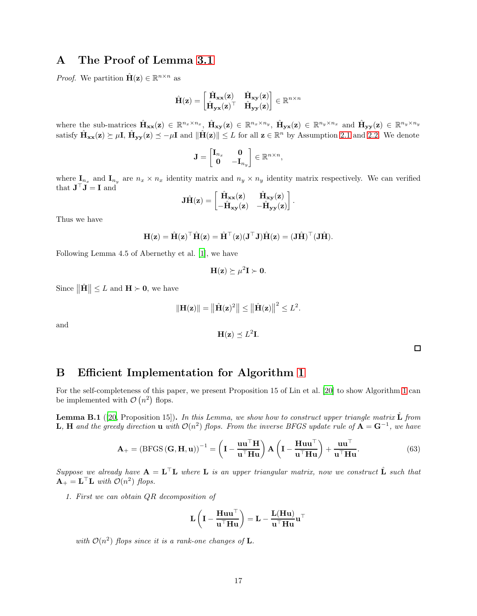## A The Proof of Lemma [3.1](#page-2-5)

*Proof.* We partition  $\hat{\mathbf{H}}(\mathbf{z}) \in \mathbb{R}^{n \times n}$  as

$$
\hat{\mathbf{H}}(\mathbf{z}) = \begin{bmatrix} \hat{\mathbf{H}}_{\mathbf{x}\mathbf{x}}(\mathbf{z}) & \hat{\mathbf{H}}_{\mathbf{x}\mathbf{y}}(\mathbf{z}) \\ \hat{\mathbf{H}}_{\mathbf{y}\mathbf{x}}(\mathbf{z})^\top & \hat{\mathbf{H}}_{\mathbf{y}\mathbf{y}}(\mathbf{z}) \end{bmatrix} \in \mathbb{R}^{n \times n}
$$

where the sub-matrices  $\hat{\mathbf{H}}_{xx}(\mathbf{z}) \in \mathbb{R}^{n_x \times n_x}, \ \hat{\mathbf{H}}_{xy}(\mathbf{z}) \in \mathbb{R}^{n_x \times n_y}, \ \hat{\mathbf{H}}_{yx}(\mathbf{z}) \in \mathbb{R}^{n_y \times n_x}$  and  $\hat{\mathbf{H}}_{yy}(\mathbf{z}) \in \mathbb{R}^{n_y \times n_y}$ satisfy  $\hat{\mathbf{H}}_{\mathbf{xx}}(\mathbf{z}) \succeq \mu \mathbf{I}$ ,  $\hat{\mathbf{H}}_{\mathbf{yy}}(\mathbf{z}) \preceq -\mu \mathbf{I}$  and  $\|\hat{\mathbf{H}}(\mathbf{z})\| \leq L$  for all  $\mathbf{z} \in \mathbb{R}^n$  by Assumption [2.1](#page-2-3) and [2.2.](#page-2-4) We denote

$$
\mathbf{J} = \begin{bmatrix} \mathbf{I}_{n_x} & \mathbf{0} \\ \mathbf{0} & -\mathbf{I}_{n_y} \end{bmatrix} \in \mathbb{R}^{n \times n},
$$

where  $I_{n_x}$  and  $I_{n_y}$  are  $n_x \times n_x$  identity matrix and  $n_y \times n_y$  identity matrix respectively. We can verified that  $\mathbf{J}^{\top} \mathbf{J} = \mathbf{I}$  and

$$
\mathbf{J}\hat{\mathbf{H}}(\mathbf{z}) = \begin{bmatrix} \hat{\mathbf{H}}_{\mathbf{xx}}(\mathbf{z}) & \hat{\mathbf{H}}_{\mathbf{xy}}(\mathbf{z}) \\ -\hat{\mathbf{H}}_{\mathbf{xy}}(\mathbf{z}) & -\hat{\mathbf{H}}_{\mathbf{yy}}(\mathbf{z}) \end{bmatrix}.
$$

Thus we have

$$
\mathbf{H}(\mathbf{z}) = \hat{\mathbf{H}}(\mathbf{z})^{\top} \hat{\mathbf{H}}(\mathbf{z}) = \hat{\mathbf{H}}^{\top}(\mathbf{z}) (\mathbf{J}^{\top} \mathbf{J}) \hat{\mathbf{H}}(\mathbf{z}) = (\mathbf{J} \hat{\mathbf{H}})^{\top} (\mathbf{J} \hat{\mathbf{H}}).
$$

Following Lemma 4.5 of Abernethy et al. [\[1](#page-13-3)], we have

$$
\mathbf{H}(\mathbf{z}) \succeq \mu^2 \mathbf{I} \succ \mathbf{0}.
$$

Since  $\|\hat{\mathbf{H}}\| \leq L$  and  $\mathbf{H} \succ \mathbf{0}$ , we have

$$
\|\mathbf{H}(\mathbf{z})\| = \left\|\hat{\mathbf{H}}(\mathbf{z})^2\right\| \le \left\|\hat{\mathbf{H}}(\mathbf{z})\right\|^2 \le L^2.
$$

and

$$
\mathbf{H}(\mathbf{z}) \preceq L^2 \mathbf{I}.
$$

 $\Box$ 

# <span id="page-16-0"></span>B Efficient Implementation for Algorithm [1](#page-4-0)

For the self-completeness of this paper, we present Proposition 15 of Lin et al. [\[20\]](#page-14-16) to show Algorithm [1](#page-4-0) can be implemented with  $\mathcal{O}(n^2)$  flops.

**Lemma B.1** ([\[20](#page-14-16), Proposition 15]). In this Lemma, we show how to construct upper triangle matrix  $\hat{\mathbf{L}}$  from **L**, **H** and the greedy direction **u** with  $\mathcal{O}(n^2)$  flops. From the inverse BFGS update rule of  $\mathbf{A} = \mathbf{G}^{-1}$ , we have

$$
\mathbf{A}_{+} = \left(\text{BFGS}(\mathbf{G}, \mathbf{H}, \mathbf{u})\right)^{-1} = \left(\mathbf{I} - \frac{\mathbf{u}\mathbf{u}^{\top}\mathbf{H}}{\mathbf{u}^{\top}\mathbf{H}\mathbf{u}}\right) \mathbf{A} \left(\mathbf{I} - \frac{\mathbf{H}\mathbf{u}\mathbf{u}^{\top}}{\mathbf{u}^{\top}\mathbf{H}\mathbf{u}}\right) + \frac{\mathbf{u}\mathbf{u}^{\top}}{\mathbf{u}^{\top}\mathbf{H}\mathbf{u}}.
$$
(63)

Suppose we already have  $A = L^{\top}L$  where L is an upper triangular matrix, now we construct  $\hat{L}$  such that  $\mathbf{A}_{+} = \mathbf{L}^{\top} \mathbf{L}$  with  $\mathcal{O}(n^2)$  flops.

1. First we can obtain QR decomposition of

$$
\mathbf{L}\left(\mathbf{I}-\frac{\mathbf{H} \mathbf{u} \mathbf{u}^\top}{\mathbf{u}^\top \mathbf{H} \mathbf{u}}\right)=\mathbf{L}-\frac{\mathbf{L}(\mathbf{H} \mathbf{u})}{\mathbf{u}^\top \mathbf{H} \mathbf{u}}\mathbf{u}^\top
$$

with  $\mathcal{O}(n^2)$  flops since it is a rank-one changes of **L**.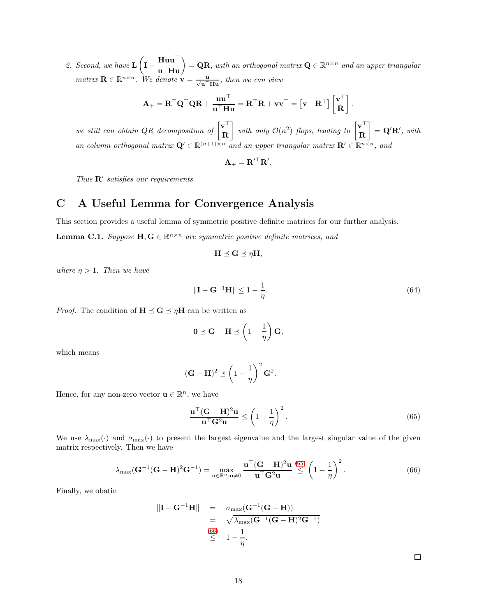2. Second, we have L  $\sqrt{ }$  $\mathbf{I} - \frac{\mathbf{H} \mathbf{u} \mathbf{u}^\top}{\mathbf{u}^\top \mathbf{H} \mathbf{u}} = \mathbf{Q} \mathbf{R}$ , with an orthogonal matrix  $\mathbf{Q} \in \mathbb{R}^{n \times n}$  and an upper triangular matrix  $\mathbf{R} \in \mathbb{R}^{n \times n}$ . We denote  $\mathbf{v} = \frac{\mathbf{u}}{\sqrt{\mathbf{u}^{\top} \mathbf{H} \mathbf{u}}}$ , then we can view

$$
\mathbf{A}_+ = \mathbf{R}^\top \mathbf{Q}^\top \mathbf{Q} \mathbf{R} + \frac{\mathbf{u} \mathbf{u}^\top}{\mathbf{u}^\top \mathbf{H} \mathbf{u}} = \mathbf{R}^\top \mathbf{R} + \mathbf{v} \mathbf{v}^\top = \begin{bmatrix} \mathbf{v} & \mathbf{R}^\top \end{bmatrix} \begin{bmatrix} \mathbf{v}^\top \\ \mathbf{R} \end{bmatrix}.
$$

we still can obtain QR decomposition of  $\begin{bmatrix} \mathbf{v}^{\top} \\ \mathbf{p} \end{bmatrix}$ R 1 with only  $\mathcal{O}(n^2)$  flops, leading to  $\begin{bmatrix} \mathbf{v}^\top \\ \mathbf{R} \end{bmatrix}$ R 1  $= \mathbf{Q}'\mathbf{R}'$ , with an column orthogonal matrix  $\mathbf{Q}' \in \mathbb{R}^{(n+1)\times n}$  and an upper triangular matrix  $\mathbf{R}' \in \mathbb{R}^{n\times n}$ , and

$$
\mathbf{A}_{+} = \mathbf{R}'^{\top} \mathbf{R}'.
$$

Thus  $\mathbf{R}'$  satisfies our requirements.

# C A Useful Lemma for Convergence Analysis

This section provides a useful lemma of symmetric positive definite matrices for our further analysis.

<span id="page-17-2"></span>**Lemma C.1.** Suppose  $H, G \in \mathbb{R}^{n \times n}$  are symmetric positive definite matrices, and

$$
\mathbf{H} \preceq \mathbf{G} \preceq \eta \mathbf{H},
$$

where  $\eta > 1$ . Then we have

$$
\|\mathbf{I} - \mathbf{G}^{-1}\mathbf{H}\| \le 1 - \frac{1}{\eta}.\tag{64}
$$

*Proof.* The condition of  $H \preceq G \preceq \eta H$  can be written as

$$
0 \preceq G - H \preceq \left(1 - \frac{1}{\eta}\right) G,
$$

which means

$$
(\mathbf{G} - \mathbf{H})^2 \preceq \left(1 - \frac{1}{\eta}\right)^2 \mathbf{G}^2.
$$

Hence, for any non-zero vector  $\mathbf{u} \in \mathbb{R}^n$ , we have

$$
\frac{\mathbf{u}^\top (\mathbf{G} - \mathbf{H})^2 \mathbf{u}}{\mathbf{u}^\top \mathbf{G}^2 \mathbf{u}} \le \left(1 - \frac{1}{\eta}\right)^2.
$$
\n(65)

We use  $\lambda_{\text{max}}(\cdot)$  and  $\sigma_{\text{max}}(\cdot)$  to present the largest eigenvalue and the largest singular value of the given matrix respectively. Then we have

<span id="page-17-1"></span>
$$
\lambda_{\max}(\mathbf{G}^{-1}(\mathbf{G}-\mathbf{H})^2\mathbf{G}^{-1}) = \max_{\mathbf{u}\in\mathbb{R}^n,\mathbf{u}\neq 0} \frac{\mathbf{u}^\top(\mathbf{G}-\mathbf{H})^2\mathbf{u}}{\mathbf{u}^\top\mathbf{G}^2\mathbf{u}} \stackrel{(65)}{\leq} \left(1-\frac{1}{\eta}\right)^2.
$$
 (66)

Finally, we obatin

$$
\|\mathbf{I} - \mathbf{G}^{-1}\mathbf{H}\| = \sigma_{\max}(\mathbf{G}^{-1}(\mathbf{G} - \mathbf{H}))
$$
  
=  $\sqrt{\lambda_{\max}(\mathbf{G}^{-1}(\mathbf{G} - \mathbf{H})^2\mathbf{G}^{-1})}$   
 $\leq 1 - \frac{1}{\eta}.$ 

<span id="page-17-0"></span> $\Box$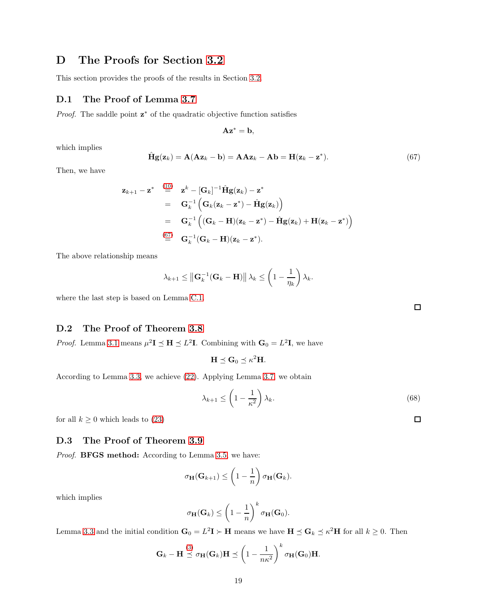## D The Proofs for Section [3.2](#page-5-5)

This section provides the proofs of the results in Section [3.2.](#page-5-5)

### D.1 The Proof of Lemma [3.7](#page-5-3)

*Proof.* The saddle point  $z^*$  of the quadratic objective function satisfies

$$
\mathbf{A}\mathbf{z}^* = \mathbf{b},
$$

which implies

<span id="page-18-0"></span>
$$
\hat{\mathbf{H}}\mathbf{g}(\mathbf{z}_k) = \mathbf{A}(\mathbf{A}\mathbf{z}_k - \mathbf{b}) = \mathbf{A}\mathbf{A}\mathbf{z}_k - \mathbf{A}\mathbf{b} = \mathbf{H}(\mathbf{z}_k - \mathbf{z}^*).
$$
\n(67)

Then, we have

$$
\mathbf{z}_{k+1} - \mathbf{z}^* \stackrel{(10)}{=} \mathbf{z}^k - [\mathbf{G}_k]^{-1} \hat{\mathbf{H}} \mathbf{g}(\mathbf{z}_k) - \mathbf{z}^*
$$
  
\n
$$
= \mathbf{G}_k^{-1} (\mathbf{G}_k (\mathbf{z}_k - \mathbf{z}^*) - \hat{\mathbf{H}} \mathbf{g}(\mathbf{z}_k))
$$
  
\n
$$
= \mathbf{G}_k^{-1} ((\mathbf{G}_k - \mathbf{H})(\mathbf{z}_k - \mathbf{z}^*) - \hat{\mathbf{H}} \mathbf{g}(\mathbf{z}_k) + \mathbf{H}(\mathbf{z}_k - \mathbf{z}^*) )
$$
  
\n
$$
\stackrel{(67)}{=} \mathbf{G}_k^{-1} (\mathbf{G}_k - \mathbf{H})(\mathbf{z}_k - \mathbf{z}^*).
$$

The above relationship means

$$
\lambda_{k+1} \leq \left\| \mathbf{G}_k^{-1} (\mathbf{G}_k - \mathbf{H}) \right\| \lambda_k \leq \left( 1 - \frac{1}{\eta_k} \right) \lambda_k.
$$

where the last step is based on Lemma [C.1.](#page-17-2)

### D.2 The Proof of Theorem [3.8](#page-6-1)

*Proof.* Lemma [3.1](#page-2-5) means  $\mu^2 I \preceq H \preceq L^2 I$ . Combining with  $G_0 = L^2 I$ , we have

$$
\mathbf{H} \preceq \mathbf{G}_0 \preceq \kappa^2 \mathbf{H}.
$$

According to Lemma [3.3,](#page-3-7) we achieve [\(22\)](#page-6-3). Applying Lemma [3.7,](#page-5-3) we obtain

$$
\lambda_{k+1} \le \left(1 - \frac{1}{\kappa^2}\right) \lambda_k. \tag{68}
$$

for all  $k \geq 0$  which leads to [\(23\)](#page-6-4)

### D.3 The Proof of Theorem [3.9](#page-6-2)

Proof. **BFGS** method: According to Lemma [3.5,](#page-4-4) we have:

$$
\sigma_{\mathbf{H}}(\mathbf{G}_{k+1}) \leq \left(1 - \frac{1}{n}\right) \sigma_{\mathbf{H}}(\mathbf{G}_k).
$$

which implies

$$
\sigma_{\mathbf{H}}(\mathbf{G}_k) \leq \left(1 - \frac{1}{n}\right)^k \sigma_{\mathbf{H}}(\mathbf{G}_0).
$$

Lemma [3.3](#page-3-7) and the initial condition  $G_0 = L^2 I \succ H$  means we have  $H \preceq G_k \preceq \kappa^2 H$  for all  $k \geq 0$ . Then

$$
\mathbf{G}_k - \mathbf{H} \stackrel{(3)}{\preceq} \sigma_{\mathbf{H}}(\mathbf{G}_k) \mathbf{H} \preceq \left(1 - \frac{1}{n\kappa^2}\right)^k \sigma_{\mathbf{H}}(\mathbf{G}_0) \mathbf{H}.
$$

<span id="page-18-1"></span> $\Box$ 

 $\Box$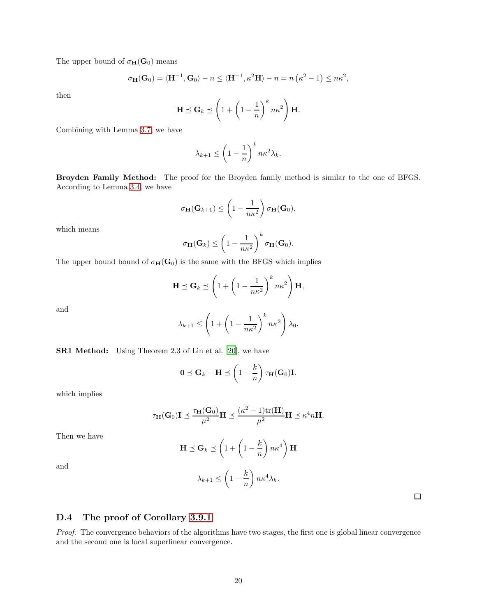The upper bound of  $\sigma_{\mathbf{H}}(\mathbf{G}_0)$  means

$$
\sigma_{\mathbf{H}}(\mathbf{G}_0) = \langle \mathbf{H}^{-1}, \mathbf{G}_0 \rangle - n \le \langle \mathbf{H}^{-1}, \kappa^2 \mathbf{H} \rangle - n = n (\kappa^2 - 1) \le n \kappa^2,
$$

then

$$
\mathbf{H} \preceq \mathbf{G}_k \preceq \left(1 + \left(1 - \frac{1}{n}\right)^k n\kappa^2\right) \mathbf{H}.
$$

Combining with Lemma [3.7,](#page-5-3) we have

$$
\lambda_{k+1} \le \left(1 - \frac{1}{n}\right)^k n \kappa^2 \lambda_k.
$$

Broyden Family Method: The proof for the Broyden family method is similar to the one of BFGS. According to Lemma [3.4,](#page-4-3) we have

$$
\sigma_{\mathbf{H}}(\mathbf{G}_{k+1}) \leq \left(1 - \frac{1}{n\kappa^2}\right)\sigma_{\mathbf{H}}(\mathbf{G}_0).
$$

which means

$$
\sigma_{\mathbf{H}}(\mathbf{G}_k) \leq \left(1 - \frac{1}{n\kappa^2}\right)^k \sigma_{\mathbf{H}}(\mathbf{G}_0).
$$

The upper bound bound of  $\sigma_H(G_0)$  is the same with the BFGS which implies

$$
\mathbf{H} \preceq \mathbf{G}_k \preceq \left(1 + \left(1 - \frac{1}{n\kappa^2}\right)^k n\kappa^2\right) \mathbf{H},
$$

and

$$
\lambda_{k+1} \le \left(1 + \left(1 - \frac{1}{n\kappa^2}\right)^k n\kappa^2\right)\lambda_0.
$$

SR1 Method: Using Theorem 2.3 of Lin et al. [\[20\]](#page-14-16), we have

$$
0 \preceq \mathbf{G}_k - \mathbf{H} \preceq \left(1 - \frac{k}{n}\right) \tau_{\mathbf{H}}(\mathbf{G}_0) \mathbf{I}.
$$

which implies

$$
\tau_{\mathbf{H}}(\mathbf{G}_0)\mathbf{I} \preceq \frac{\tau_{\mathbf{H}}(\mathbf{G}_0)}{\mu^2} \mathbf{H} \preceq \frac{(\kappa^2 - 1)\mathrm{tr}(\mathbf{H})}{\mu^2} \mathbf{H} \preceq \kappa^4 n \mathbf{H}.
$$

Then we have

$$
\mathbf{H} \preceq \mathbf{G}_k \preceq \left(1 + \left(1 - \frac{k}{n}\right)n\kappa^4\right)\mathbf{H}
$$

and

$$
\lambda_{k+1} \le \left(1 - \frac{k}{n}\right) n \kappa^4 \lambda_k.
$$

 $\Box$ 

### D.4 The proof of Corollary [3.9.1](#page-6-5)

Proof. The convergence behaviors of the algorithms have two stages, the first one is global linear convergence and the second one is local superlinear convergence.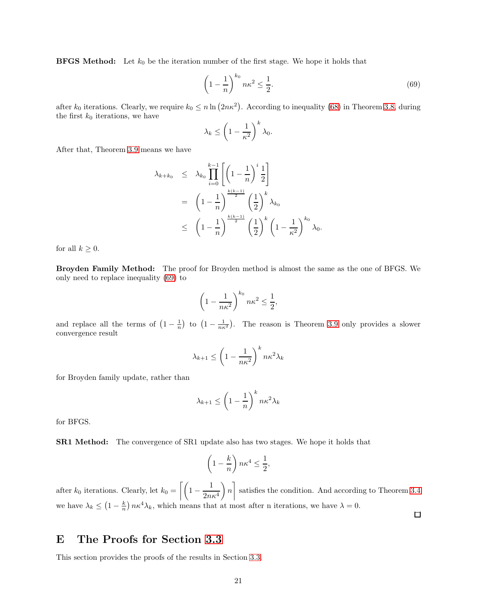**BFGS Method:** Let  $k_0$  be the iteration number of the first stage. We hope it holds that

<span id="page-20-0"></span>
$$
\left(1 - \frac{1}{n}\right)^{k_0} n\kappa^2 \le \frac{1}{2}.\tag{69}
$$

after  $k_0$  iterations. Clearly, we require  $k_0 \le n \ln (2n\kappa^2)$ . According to inequality [\(68\)](#page-18-1) in Theorem [3.8,](#page-6-1) during the first  $k_0$  iterations, we have

$$
\lambda_k \le \left(1 - \frac{1}{\kappa^2}\right)^k \lambda_0.
$$

After that, Theorem [3.9](#page-6-2) means we have

$$
\lambda_{k+k_0} \leq \lambda_{k_0} \prod_{i=0}^{k-1} \left[ \left( 1 - \frac{1}{n} \right)^i \frac{1}{2} \right]
$$
  
=  $\left( 1 - \frac{1}{n} \right)^{\frac{k(k-1)}{2}} \left( \frac{1}{2} \right)^k \lambda_{k_0}$   
 $\leq \left( 1 - \frac{1}{n} \right)^{\frac{k(k-1)}{2}} \left( \frac{1}{2} \right)^k \left( 1 - \frac{1}{\kappa^2} \right)^{k_0} \lambda_0.$ 

for all  $k \geq 0$ .

Broyden Family Method: The proof for Broyden method is almost the same as the one of BFGS. We only need to replace inequality [\(69\)](#page-20-0) to

$$
\left(1 - \frac{1}{n\kappa^2}\right)^{k_0} n\kappa^2 \le \frac{1}{2},
$$

and replace all the terms of  $(1-\frac{1}{n})$  to  $(1-\frac{1}{n\kappa^2})$ . The reason is Theorem [3.9](#page-6-2) only provides a slower convergence result

$$
\lambda_{k+1} \le \left(1 - \frac{1}{n\kappa^2}\right)^k n\kappa^2 \lambda_k
$$

for Broyden family update, rather than

$$
\lambda_{k+1} \le \left(1 - \frac{1}{n}\right)^k n \kappa^2 \lambda_k
$$

for BFGS.

SR1 Method: The convergence of SR1 update also has two stages. We hope it holds that

$$
\left(1 - \frac{k}{n}\right) n\kappa^4 \le \frac{1}{2},
$$

after  $k_0$  iterations. Clearly, let  $k_0 = \left[ \left( 1 - \frac{1}{2m} \right) \right]$  $2n\kappa^4$  $\overline{\phantom{0}}$ n 1 satisfies the condition. And according to Theorem [3.4](#page-4-3) we have  $\lambda_k \leq (1 - \frac{k}{n}) n \kappa^4 \lambda_k$ , which means that at most after n iterations, we have  $\lambda = 0$ .

 $\Box$ 

## E The Proofs for Section [3.3](#page-7-4)

This section provides the proofs of the results in Section [3.3.](#page-7-4)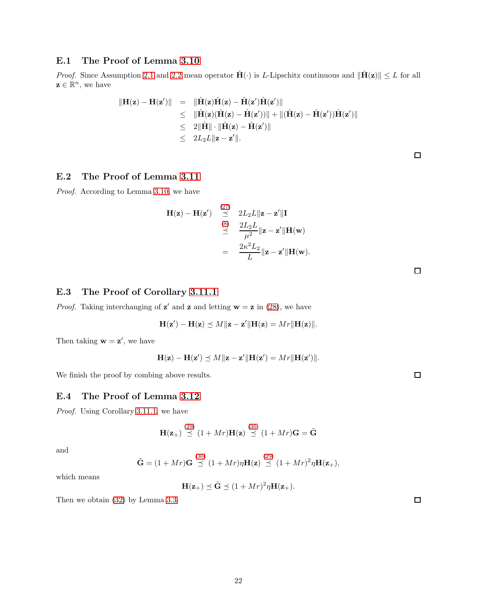## E.1 The Proof of Lemma [3.10](#page-7-0)

*Proof.* Since Assumption [2.1](#page-2-3) and [2.2](#page-2-4) mean operator  $\hat{H}(\cdot)$  is L-Lipschitz continuous and  $\|\hat{H}(z)\| \leq L$  for all  $\mathbf{z} \in \mathbb{R}^n$ , we have

$$
\begin{array}{rcl} \|\mathbf{H}(\mathbf{z}) - \mathbf{H}(\mathbf{z}')\| & = & \|\hat{\mathbf{H}}(\mathbf{z})\hat{\mathbf{H}}(\mathbf{z}) - \hat{\mathbf{H}}(\mathbf{z}')\hat{\mathbf{H}}(\mathbf{z}')\| \\ & \leq & \|\hat{\mathbf{H}}(\mathbf{z})(\hat{\mathbf{H}}(\mathbf{z}) - \hat{\mathbf{H}}(\mathbf{z}'))\| + \|(\hat{\mathbf{H}}(\mathbf{z}) - \hat{\mathbf{H}}(\mathbf{z}'))\hat{\mathbf{H}}(\mathbf{z}')\| \\ & \leq & 2\|\hat{\mathbf{H}}\| \cdot \|\hat{\mathbf{H}}(\mathbf{z}) - \hat{\mathbf{H}}(\mathbf{z}')\| \\ & \leq & 2L_2L\|\mathbf{z} - \mathbf{z}'\|. \end{array}
$$

## E.2 The Proof of Lemma [3.11](#page-7-3)

Proof. According to Lemma [3.10,](#page-7-0) we have

$$
\mathbf{H}(\mathbf{z}) - \mathbf{H}(\mathbf{z}') \stackrel{(27)}{\preceq} 2L_2L \|\mathbf{z} - \mathbf{z}'\| \mathbf{I}
$$
  
\n
$$
\stackrel{(8)}{\preceq} \frac{2L_2L}{\mu^2} \|\mathbf{z} - \mathbf{z}'\| \mathbf{H}(\mathbf{w})
$$
  
\n
$$
= \frac{2\kappa^2 L_2}{L} \|\mathbf{z} - \mathbf{z}'\| \mathbf{H}(\mathbf{w}).
$$

 $\Box$ 

### E.3 The Proof of Corollary [3.11.1](#page-7-1)

*Proof.* Taking interchanging of  $z'$  and  $z$  and letting  $w = z$  in [\(28\)](#page-7-6), we have

$$
\mathbf{H}(\mathbf{z}') - \mathbf{H}(\mathbf{z}) \preceq M \|\mathbf{z} - \mathbf{z}'\| \mathbf{H}(\mathbf{z}) = Mr \|\mathbf{H}(\mathbf{z})\|.
$$

Then taking  $\mathbf{w} = \mathbf{z}'$ , we have

$$
\mathbf{H}(\mathbf{z}) - \mathbf{H}(\mathbf{z}') \preceq M \|\mathbf{z} - \mathbf{z}'\| \mathbf{H}(\mathbf{z}') = Mr \|\mathbf{H}(\mathbf{z}')\|.
$$

We finish the proof by combing above results.

### E.4 The Proof of Lemma [3.12](#page-8-4)

Proof. Using Corollary [3.11.1,](#page-7-1) we have

$$
\mathbf{H}(\mathbf{z}_{+}) \stackrel{\text{(29)}}{\preceq} (1+Mr)\mathbf{H}(\mathbf{z}) \stackrel{\text{(30)}}{\preceq} (1+Mr)\mathbf{G} = \tilde{\mathbf{G}}
$$

and

$$
\tilde{\mathbf{G}} = (1+Mr)\mathbf{G} \stackrel{(30)}{\preceq} (1+Mr)\eta \mathbf{H}(\mathbf{z}) \stackrel{(29)}{\preceq} (1+Mr)^2\eta \mathbf{H}(\mathbf{z}_+),
$$

which means

$$
\mathbf{H}(\mathbf{z}_{+}) \preceq \tilde{\mathbf{G}} \preceq (1+Mr)^2 \eta \mathbf{H}(\mathbf{z}_{+}).
$$

Then we obtain [\(32\)](#page-8-2) by Lemma [3.3.](#page-3-7)

 $\Box$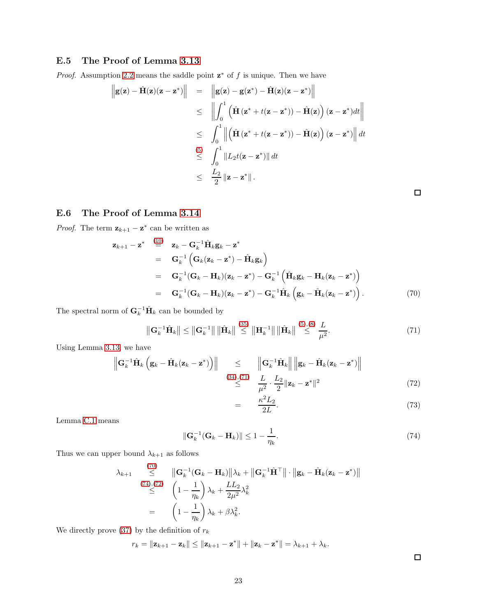## E.5 The Proof of Lemma [3.13](#page-9-3)

*Proof.* Assumption [2.2](#page-2-4) means the saddle point  $z^*$  of f is unique. Then we have

$$
\begin{array}{rcl}\n\left\| \mathbf{g}(\mathbf{z}) - \hat{\mathbf{H}}(\mathbf{z})(\mathbf{z} - \mathbf{z}^*) \right\| & = & \left\| \mathbf{g}(\mathbf{z}) - \mathbf{g}(\mathbf{z}^*) - \hat{\mathbf{H}}(\mathbf{z})(\mathbf{z} - \mathbf{z}^*) \right\| \\
& \leq & \left\| \int_0^1 \left( \hat{\mathbf{H}} \left( \mathbf{z}^* + t(\mathbf{z} - \mathbf{z}^*) \right) - \hat{\mathbf{H}}(\mathbf{z}) \right) (\mathbf{z} - \mathbf{z}^*) dt \right\| \\
& \leq & \int_0^1 \left\| \left( \hat{\mathbf{H}} \left( \mathbf{z}^* + t(\mathbf{z} - \mathbf{z}^*) \right) - \hat{\mathbf{H}}(\mathbf{z}) \right) (\mathbf{z} - \mathbf{z}^*) \right\| dt \\
& \leq & \int_0^{\left(5\right)} \left\| L_2 t(\mathbf{z} - \mathbf{z}^*) \right\| dt \\
& \leq & \frac{L_2}{2} \left\| \mathbf{z} - \mathbf{z}^* \right\|. \n\end{array}
$$

### E.6 The Proof of Lemma [3.14](#page-9-1)

*Proof.* The term  $\mathbf{z}_{k+1} - \mathbf{z}^*$  can be written as

<span id="page-22-1"></span>
$$
\mathbf{z}_{k+1} - \mathbf{z}^* \stackrel{(10)}{=} \mathbf{z}_k - \mathbf{G}_k^{-1} \hat{\mathbf{H}}_k \mathbf{g}_k - \mathbf{z}^*
$$
  
\n
$$
= \mathbf{G}_k^{-1} \left( \mathbf{G}_k (\mathbf{z}_k - \mathbf{z}^*) - \hat{\mathbf{H}}_k \mathbf{g}_k \right)
$$
  
\n
$$
= \mathbf{G}_k^{-1} (\mathbf{G}_k - \mathbf{H}_k) (\mathbf{z}_k - \mathbf{z}^*) - \mathbf{G}_k^{-1} \left( \hat{\mathbf{H}}_k \mathbf{g}_k - \mathbf{H}_k (\mathbf{z}_k - \mathbf{z}^*) \right)
$$
  
\n
$$
= \mathbf{G}_k^{-1} (\mathbf{G}_k - \mathbf{H}_k) (\mathbf{z}_k - \mathbf{z}^*) - \mathbf{G}_k^{-1} \hat{\mathbf{H}}_k \left( \mathbf{g}_k - \hat{\mathbf{H}}_k (\mathbf{z}_k - \mathbf{z}^*) \right).
$$
 (70)

The spectral norm of  $\mathbf{G}_k^{-1} \hat{\mathbf{H}}_k$  can be bounded by

$$
\left\| \mathbf{G}_{k}^{-1} \hat{\mathbf{H}}_{k} \right\| \leq \left\| \mathbf{G}_{k}^{-1} \right\| \left\| \hat{\mathbf{H}}_{k} \right\| \stackrel{(35)}{\leq} \left\| \mathbf{H}_{k}^{-1} \right\| \left\| \hat{\mathbf{H}}_{k} \right\| \stackrel{(5),(8)}{\leq} \frac{L}{\mu^{2}}.
$$
\n(71)

Using Lemma [3.13,](#page-9-3) we have

<span id="page-22-3"></span>
$$
\left\| \mathbf{G}_{k}^{-1} \hat{\mathbf{H}}_{k} \left( \mathbf{g}_{k} - \hat{\mathbf{H}}_{k} (\mathbf{z}_{k} - \mathbf{z}^{*}) \right) \right\| \leq \left\| \mathbf{G}_{k}^{-1} \hat{\mathbf{H}}_{k} \right\| \left\| \mathbf{g}_{k} - \hat{\mathbf{H}}_{k} (\mathbf{z}_{k} - \mathbf{z}^{*}) \right\|
$$
\n
$$
\leq \frac{(34)(71)}{\epsilon^{2}} \cdot \frac{L}{2} \frac{L_{2}}{2} \|\mathbf{z}_{k} - \mathbf{z}^{*} \|^{2}
$$
\n(72)

<span id="page-22-0"></span>
$$
\frac{1}{\mu^2} \frac{2}{2} e^{-\frac{2}{2} \mu^2 k} \frac{2}{2} \frac{1}{2} \frac{1}{2} \frac{1}{2} \frac{1}{2} \frac{1}{2} \frac{1}{2} \frac{1}{2} \frac{1}{2} \frac{1}{2} \frac{1}{2} \frac{1}{2} \frac{1}{2} \frac{1}{2} \frac{1}{2} \frac{1}{2} \frac{1}{2} \frac{1}{2} \frac{1}{2} \frac{1}{2} \frac{1}{2} \frac{1}{2} \frac{1}{2} \frac{1}{2} \frac{1}{2} \frac{1}{2} \frac{1}{2} \frac{1}{2} \frac{1}{2} \frac{1}{2} \frac{1}{2} \frac{1}{2} \frac{1}{2} \frac{1}{2} \frac{1}{2} \frac{1}{2} \frac{1}{2} \frac{1}{2} \frac{1}{2} \frac{1}{2} \frac{1}{2} \frac{1}{2} \frac{1}{2} \frac{1}{2} \frac{1}{2} \frac{1}{2} \frac{1}{2} \frac{1}{2} \frac{1}{2} \frac{1}{2} \frac{1}{2} \frac{1}{2} \frac{1}{2} \frac{1}{2} \frac{1}{2} \frac{1}{2} \frac{1}{2} \frac{1}{2} \frac{1}{2} \frac{1}{2} \frac{1}{2} \frac{1}{2} \frac{1}{2} \frac{1}{2} \frac{1}{2} \frac{1}{2} \frac{1}{2} \frac{1}{2} \frac{1}{2} \frac{1}{2} \frac{1}{2} \frac{1}{2} \frac{1}{2} \frac{1}{2} \frac{1}{2} \frac{1}{2} \frac{1}{2} \frac{1}{2} \frac{1}{2} \frac{1}{2} \frac{1}{2} \frac{1}{2} \frac{1}{2} \frac{1}{2} \frac{1}{2} \frac{1}{2} \frac{1}{2} \frac{1}{2} \frac{1}{2} \frac{1}{2} \frac{1}{2} \frac{1}{2} \frac{1}{2} \frac{1}{2} \frac{1}{2} \frac{1}{2} \frac{1}{2} \frac{1}{2} \frac{1}{2} \frac{1}{2} \frac{1}{2} \frac{1}{2} \frac{1}{2} \frac{1}{2}
$$

Lemma [C.1](#page-17-2) means

<span id="page-22-2"></span>
$$
\|\mathbf{G}_k^{-1}(\mathbf{G}_k - \mathbf{H}_k)\| \le 1 - \frac{1}{\eta_k}.\tag{74}
$$

Thus we can upper bound  $\lambda_{k+1}$  as follows

$$
\lambda_{k+1} \leq \|\mathbf{G}_k^{-1}(\mathbf{G}_k - \mathbf{H}_k)\| \lambda_k + \|\mathbf{G}_k^{-1}\hat{\mathbf{H}}^{\top}\| \cdot \|\mathbf{g}_k - \hat{\mathbf{H}}_k(\mathbf{z}_k - \mathbf{z}^*) \|
$$
\n
$$
\leq \left(1 - \frac{1}{\eta_k}\right) \lambda_k + \frac{LL_2}{2\mu^2} \lambda_k^2
$$
\n
$$
= \left(1 - \frac{1}{\eta_k}\right) \lambda_k + \beta \lambda_k^2.
$$

We directly prove [\(37\)](#page-9-6) by the definition of  $r_k$ 

$$
r_k = ||\mathbf{z}_{k+1} - \mathbf{z}_k|| \le ||\mathbf{z}_{k+1} - \mathbf{z}^*|| + ||\mathbf{z}_k - \mathbf{z}^*|| = \lambda_{k+1} + \lambda_k.
$$

 $\Box$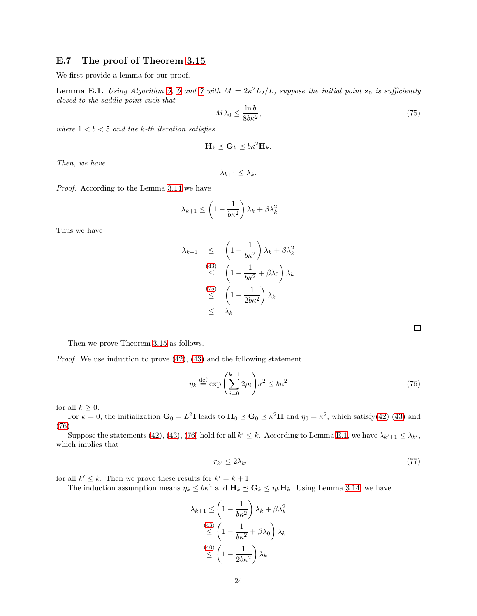### E.7 The proof of Theorem [3.15](#page-10-3)

We first provide a lemma for our proof.

<span id="page-23-2"></span>**Lemma E.1.** Using Algorithm [5,](#page-8-0) [6](#page-8-1) and [7](#page-9-0) with  $M = 2\kappa^2 L_2/L$ , suppose the initial point  $\mathbf{z}_0$  is sufficiently closed to the saddle point such that

<span id="page-23-0"></span>
$$
M\lambda_0 \le \frac{\ln b}{8b\kappa^2},\tag{75}
$$

where  $1 < b < 5$  and the k-th iteration satisfies

$$
\mathbf{H}_k \preceq \mathbf{G}_k \preceq b\kappa^2 \mathbf{H}_k.
$$

Then, we have

$$
\lambda_{k+1} \leq \lambda_k.
$$

Proof. According to the Lemma [3.14](#page-9-1) we have

$$
\lambda_{k+1} \le \left(1 - \frac{1}{b\kappa^2}\right)\lambda_k + \beta\lambda_k^2.
$$

Thus we have

$$
\lambda_{k+1} \leq \left(1 - \frac{1}{b\kappa^2}\right) \lambda_k + \beta \lambda_k^2
$$
  
\n
$$
\leq \left(1 - \frac{1}{b\kappa^2} + \beta \lambda_0\right) \lambda_k
$$
  
\n
$$
\leq \left(1 - \frac{1}{2b\kappa^2}\right) \lambda_k
$$
  
\n
$$
\leq \lambda_k.
$$

<span id="page-23-1"></span> $\Box$ 

Then we prove Theorem [3.15](#page-10-3) as follows.

*Proof.* We use induction to prove  $(42)$ ,  $(43)$  and the following statement

$$
\eta_k \stackrel{\text{def}}{=} \exp\left(\sum_{i=0}^{k-1} 2\rho_i\right) \kappa^2 \le b\kappa^2 \tag{76}
$$

for all  $k \geq 0$ .

For  $k = 0$ , the initialization  $G_0 = L^2 I$  leads to  $H_0 \preceq G_0 \preceq \kappa^2 H$  and  $\eta_0 = \kappa^2$ , which satisfy[\(42\)](#page-10-6) [\(43\)](#page-10-5) and [\(76\)](#page-23-1).

Suppose the statements [\(42\)](#page-10-6), [\(43\)](#page-10-5), [\(76\)](#page-23-1) hold for all  $k' \leq k$ . According to Lemma [E.1,](#page-23-2) we have  $\lambda_{k'+1} \leq \lambda_{k'}$ , which implies that

$$
r_{k'} \le 2\lambda_{k'} \tag{77}
$$

for all  $k' \leq k$ . Then we prove these results for  $k' = k + 1$ .

The induction assumption means  $\eta_k \leq b\kappa^2$  and  $\mathbf{H}_k \preceq \mathbf{G}_k \leq \eta_k \mathbf{H}_k$ . Using Lemma [3.14,](#page-9-1) we have

$$
\lambda_{k+1} \le \left(1 - \frac{1}{b\kappa^2}\right) \lambda_k + \beta \lambda_k^2
$$
  

$$
\le \left(1 - \frac{1}{b\kappa^2} + \beta \lambda_0\right) \lambda_k
$$
  

$$
\le \left(1 - \frac{1}{2b\kappa^2}\right) \lambda_k
$$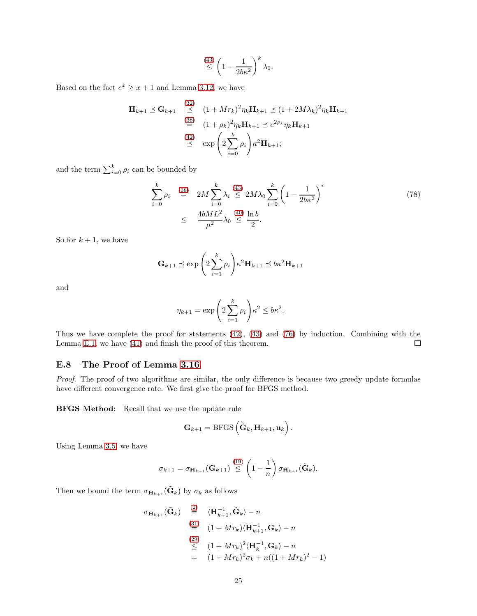$$
\stackrel{(43)}{\leq} \left(1 - \frac{1}{2b\kappa^2}\right)^k \lambda_0.
$$

Based on the fact  $e^x \ge x+1$  and Lemma [3.12,](#page-8-4) we have

$$
\mathbf{H}_{k+1} \preceq \mathbf{G}_{k+1} \stackrel{(32)}{\preceq} (1 + Mr_k)^2 \eta_k \mathbf{H}_{k+1} \preceq (1 + 2M\lambda_k)^2 \eta_k \mathbf{H}_{k+1}
$$
  

$$
\stackrel{(38)}{=} (1 + \rho_k)^2 \eta_k \mathbf{H}_{k+1} \preceq e^{2\rho_k} \eta_k \mathbf{H}_{k+1}
$$
  

$$
\stackrel{(42)}{\preceq} \exp\left(2 \sum_{i=0}^k \rho_i\right) \kappa^2 \mathbf{H}_{k+1};
$$

and the term  $\sum_{i=0}^{k} \rho_i$  can be bounded by

<span id="page-24-1"></span>
$$
\sum_{i=0}^{k} \rho_i \stackrel{(38)}{=} 2M \sum_{i=0}^{k} \lambda_i \stackrel{(43)}{\leq} 2M \lambda_0 \sum_{i=0}^{k} \left(1 - \frac{1}{2b\kappa^2}\right)^i
$$
\n
$$
\leq \frac{4bML^2}{\mu^2} \lambda_0 \stackrel{(40)}{\leq} \frac{\ln b}{2}.
$$
\n(78)

So for  $k + 1$ , we have

$$
\mathbf{G}_{k+1} \preceq \exp\left(2\sum_{i=1}^k \rho_i\right) \kappa^2 \mathbf{H}_{k+1} \preceq b\kappa^2 \mathbf{H}_{k+1}
$$

and

$$
\eta_{k+1} = \exp\left(2\sum_{i=1}^k \rho_i\right)\kappa^2 \le b\kappa^2.
$$

Thus we have complete the proof for statements [\(42\)](#page-10-6), [\(43\)](#page-10-5) and [\(76\)](#page-23-1) by induction. Combining with the Lemma [E.1,](#page-23-2) we have [\(41\)](#page-10-8) and finish the proof of this theorem.  $\Box$ 

### E.8 The Proof of Lemma [3.16](#page-10-1)

Proof. The proof of two algorithms are similar, the only difference is because two greedy update formulas have different convergence rate. We first give the proof for BFGS method.

BFGS Method: Recall that we use the update rule

$$
\mathbf{G}_{k+1} = \mathrm{BFGS}\left(\tilde{\mathbf{G}}_k, \mathbf{H}_{k+1}, \mathbf{u}_k\right).
$$

Using Lemma [3.5,](#page-4-4) we have

$$
\sigma_{k+1} = \sigma_{\mathbf{H}_{k+1}}(\mathbf{G}_{k+1}) \stackrel{(19)}{\leq} \left(1 - \frac{1}{n}\right) \sigma_{\mathbf{H}_{k+1}}(\tilde{\mathbf{G}}_k).
$$

Then we bound the term  $\sigma_{\mathbf{H}_{k+1}}(\tilde{\mathbf{G}}_k)$  by  $\sigma_k$  as follows

<span id="page-24-0"></span>
$$
\sigma_{\mathbf{H}_{k+1}}(\tilde{\mathbf{G}}_k) \stackrel{(2)}{=} \langle \mathbf{H}_{k+1}^{-1}, \tilde{\mathbf{G}}_k \rangle - n
$$
  
\n
$$
\stackrel{(31)}{=} (1 + Mr_k) \langle \mathbf{H}_{k+1}^{-1}, \mathbf{G}_k \rangle - n
$$
  
\n
$$
\stackrel{(29)}{\leq} (1 + Mr_k)^2 \langle \mathbf{H}_k^{-1}, \mathbf{G}_k \rangle - n
$$
  
\n
$$
= (1 + Mr_k)^2 \sigma_k + n((1 + Mr_k)^2 - 1)
$$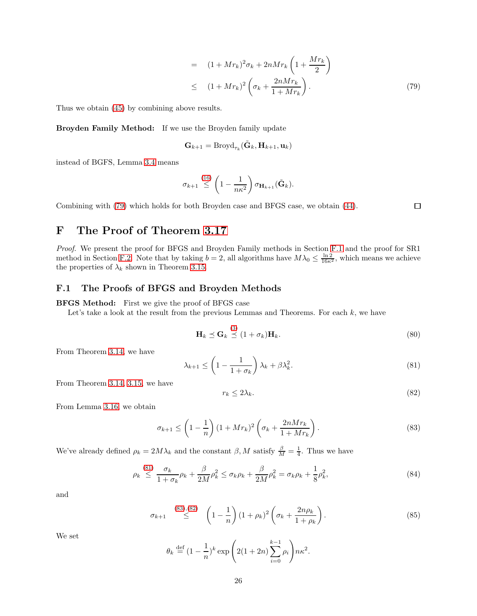$$
= (1 + Mr_k)^2 \sigma_k + 2nMr_k \left(1 + \frac{Mr_k}{2}\right)
$$
  

$$
\leq (1 + Mr_k)^2 \left(\sigma_k + \frac{2nMr_k}{1 + Mr_k}\right).
$$
 (79)

Thus we obtain [\(45\)](#page-10-9) by combining above results.

Broyden Family Method: If we use the Broyden family update

$$
\mathbf{G}_{k+1} = \text{Broyd}_{\tau_k}(\tilde{\mathbf{G}}_k, \mathbf{H}_{k+1}, \mathbf{u}_k)
$$

instead of BGFS, Lemma [3.4](#page-4-3) means

$$
\sigma_{k+1} \stackrel{(16)}{\leq} \left(1 - \frac{1}{n\kappa^2}\right) \sigma_{\mathbf{H}_{k+1}}(\tilde{\mathbf{G}}_k).
$$

Combining with [\(79\)](#page-24-0) which holds for both Broyden case and BFGS case, we obtain [\(44\)](#page-10-10).

 $\Box$ 

# F The Proof of Theorem [3.17](#page-10-4)

Proof. We present the proof for BFGS and Broyden Family methods in Section [F.1](#page-25-0) and the proof for SR1 method in Section [F.2.](#page-27-0) Note that by taking  $b = 2$ , all algorithms have  $M\lambda_0 \leq \frac{\ln 2}{16\kappa^2}$ , which means we achieve the properties of  $\lambda_k$  shown in Theorem [3.15.](#page-10-3)

## <span id="page-25-0"></span>F.1 The Proofs of BFGS and Broyden Methods

BFGS Method: First we give the proof of BFGS case

Let's take a look at the result from the previous Lemmas and Theorems. For each  $k$ , we have

$$
\mathbf{H}_k \preceq \mathbf{G}_k \stackrel{(3)}{\preceq} (1 + \sigma_k) \mathbf{H}_k. \tag{80}
$$

From Theorem [3.14,](#page-9-1) we have

<span id="page-25-3"></span><span id="page-25-1"></span>
$$
\lambda_{k+1} \le \left(1 - \frac{1}{1 + \sigma_k}\right) \lambda_k + \beta \lambda_k^2. \tag{81}
$$

From Theorem [3.14,](#page-9-1) [3.15,](#page-10-3) we have

$$
r_k \le 2\lambda_k. \tag{82}
$$

From Lemma [3.16,](#page-10-1) we obtain

<span id="page-25-2"></span>
$$
\sigma_{k+1} \le \left(1 - \frac{1}{n}\right) \left(1 + Mr_k\right)^2 \left(\sigma_k + \frac{2nMr_k}{1 + Mr_k}\right). \tag{83}
$$

We've already defined  $\rho_k = 2M\lambda_k$  and the constant  $\beta$ , M satisfy  $\frac{\beta}{M} = \frac{1}{4}$ . Thus we have

$$
\rho_k \stackrel{(81)}{\leq} \frac{\sigma_k}{1+\sigma_k} \rho_k + \frac{\beta}{2M} \rho_k^2 \leq \sigma_k \rho_k + \frac{\beta}{2M} \rho_k^2 = \sigma_k \rho_k + \frac{1}{8} \rho_k^2,\tag{84}
$$

and

$$
\sigma_{k+1} \stackrel{(83),(82)}{\leq} \left(1 - \frac{1}{n}\right) (1 + \rho_k)^2 \left(\sigma_k + \frac{2n\rho_k}{1 + \rho_k}\right). \tag{85}
$$

We set

$$
\theta_k \stackrel{\text{def}}{=} (1 - \frac{1}{n})^k \exp\left(2(1 + 2n)\sum_{i=0}^{k-1} \rho_i\right) n\kappa^2.
$$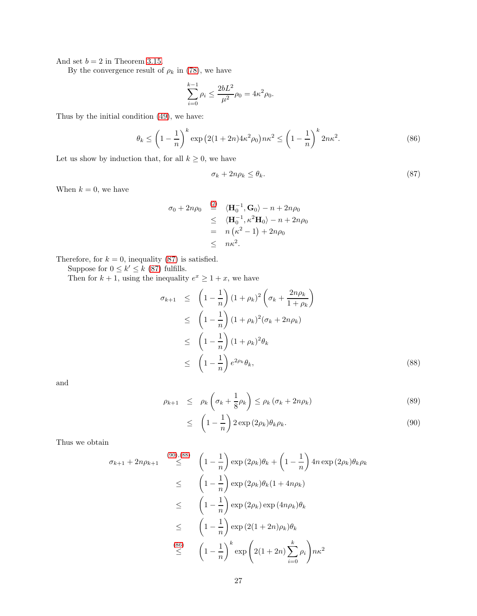And set  $b = 2$  in Theorem [3.15.](#page-10-3)

By the convergence result of  $\rho_k$  in [\(78\)](#page-24-1), we have

<span id="page-26-3"></span>
$$
\sum_{i=0}^{k-1} \rho_i \le \frac{2bL^2}{\mu^2} \rho_0 = 4\kappa^2 \rho_0.
$$

Thus by the initial condition [\(49\)](#page-11-3), we have:

$$
\theta_k \le \left(1 - \frac{1}{n}\right)^k \exp\left(2(1 + 2n)4\kappa^2 \rho_0\right) n\kappa^2 \le \left(1 - \frac{1}{n}\right)^k 2n\kappa^2. \tag{86}
$$

Let us show by induction that, for all  $k \geq 0$ , we have

<span id="page-26-0"></span>
$$
\sigma_k + 2n\rho_k \le \theta_k. \tag{87}
$$

When  $k = 0$ , we have

$$
\sigma_0 + 2n\rho_0 \stackrel{(2)}{=} \langle \mathbf{H}_0^{-1}, \mathbf{G}_0 \rangle - n + 2n\rho_0
$$
  
\n
$$
\leq \langle \mathbf{H}_0^{-1}, \kappa^2 \mathbf{H}_0 \rangle - n + 2n\rho_0
$$
  
\n
$$
= n(\kappa^2 - 1) + 2n\rho_0
$$
  
\n
$$
\leq n\kappa^2.
$$

Therefore, for  $k = 0$ , inequality [\(87\)](#page-26-0) is satisfied.

Suppose for  $0 \leq k' \leq k$  [\(87\)](#page-26-0) fulfills.

Then for  $k + 1$ , using the inequality  $e^x \ge 1 + x$ , we have

<span id="page-26-2"></span>
$$
\sigma_{k+1} \leq \left(1 - \frac{1}{n}\right)(1 + \rho_k)^2 \left(\sigma_k + \frac{2n\rho_k}{1 + \rho_k}\right)
$$
  
\n
$$
\leq \left(1 - \frac{1}{n}\right)(1 + \rho_k)^2 (\sigma_k + 2n\rho_k)
$$
  
\n
$$
\leq \left(1 - \frac{1}{n}\right)(1 + \rho_k)^2 \theta_k
$$
  
\n
$$
\leq \left(1 - \frac{1}{n}\right)e^{2\rho_k}\theta_k,
$$
 (88)

and

<span id="page-26-1"></span>
$$
\rho_{k+1} \leq \rho_k \left( \sigma_k + \frac{1}{8} \rho_k \right) \leq \rho_k \left( \sigma_k + 2n \rho_k \right) \tag{89}
$$
\n
$$
\leq \left( 1 - \frac{1}{n} \right) 2 \exp(2\rho_k) \theta_k \rho_k. \tag{90}
$$

Thus we obtain

$$
\sigma_{k+1} + 2n\rho_{k+1} \stackrel{(90),(88)}{\leq} \left(1 - \frac{1}{n}\right) \exp(2\rho_k)\theta_k + \left(1 - \frac{1}{n}\right) 4n \exp(2\rho_k)\theta_k \rho_k
$$
  

$$
\leq \left(1 - \frac{1}{n}\right) \exp(2\rho_k)\theta_k(1 + 4n\rho_k)
$$
  

$$
\leq \left(1 - \frac{1}{n}\right) \exp(2\rho_k) \exp(4n\rho_k)\theta_k
$$
  

$$
\leq \left(1 - \frac{1}{n}\right) \exp(2(1 + 2n)\rho_k)\theta_k
$$
  

$$
\stackrel{(86)}{\leq} \left(1 - \frac{1}{n}\right)^k \exp\left(2(1 + 2n)\sum_{i=0}^k \rho_i\right) n\kappa^2
$$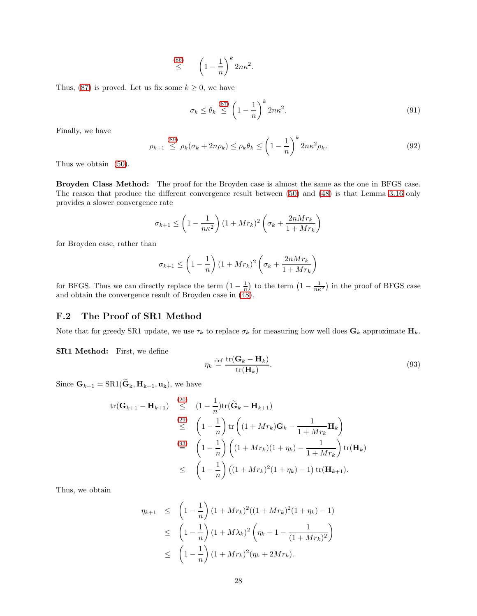$$
\stackrel{(86)}{\leq} \qquad \left(1 - \frac{1}{n}\right)^k 2n\kappa^2.
$$

Thus, [\(87\)](#page-26-0) is proved. Let us fix some  $k \geq 0$ , we have

$$
\sigma_k \le \theta_k \stackrel{(87)}{\le} \left(1 - \frac{1}{n}\right)^k 2n\kappa^2. \tag{91}
$$

Finally, we have

$$
\rho_{k+1} \stackrel{(89)}{\leq} \rho_k(\sigma_k + 2n\rho_k) \leq \rho_k \theta_k \leq \left(1 - \frac{1}{n}\right)^k 2n\kappa^2 \rho_k. \tag{92}
$$

Thus we obtain [\(50\)](#page-11-4).

Broyden Class Method: The proof for the Broyden case is almost the same as the one in BFGS case. The reason that produce the different convergence result between [\(50\)](#page-11-4) and [\(48\)](#page-10-11) is that Lemma [3.16](#page-10-1) only provides a slower convergence rate

$$
\sigma_{k+1} \le \left(1 - \frac{1}{n\kappa^2}\right)(1 + Mr_k)^2 \left(\sigma_k + \frac{2nMr_k}{1 + Mr_k}\right)
$$

for Broyden case, rather than

$$
\sigma_{k+1} \le \left(1 - \frac{1}{n}\right)(1 + Mr_k)^2 \left(\sigma_k + \frac{2nMr_k}{1 + Mr_k}\right)
$$

for BFGS. Thus we can directly replace the term  $\left(1-\frac{1}{n}\right)$  to the term  $\left(1-\frac{1}{n\kappa^2}\right)$  in the proof of BFGS case and obtain the convergence result of Broyden case in [\(48\)](#page-10-11).

### <span id="page-27-0"></span>F.2 The Proof of SR1 Method

Note that for greedy SR1 update, we use  $\tau_k$  to replace  $\sigma_k$  for measuring how well does  $G_k$  approximate  $H_k$ .

SR1 Method: First, we define

<span id="page-27-1"></span>
$$
\eta_k \stackrel{\text{def}}{=} \frac{\text{tr}(\mathbf{G}_k - \mathbf{H}_k)}{\text{tr}(\mathbf{H}_k)}.
$$
\n(93)

Since  $\mathbf{G}_{k+1}=\text{SR1}(\widetilde{\mathbf{G}}_{k}, \mathbf{H}_{k+1}, \mathbf{u}_{k}),$  we have

$$
\text{tr}(\mathbf{G}_{k+1} - \mathbf{H}_{k+1}) \stackrel{(20)}{\leq} (1 - \frac{1}{n}) \text{tr}(\widetilde{\mathbf{G}}_k - \mathbf{H}_{k+1})
$$
\n
$$
\stackrel{(29)}{\leq} \left(1 - \frac{1}{n}\right) \text{tr}\left((1 + Mr_k)\mathbf{G}_k - \frac{1}{1 + Mr_k}\mathbf{H}_k\right)
$$
\n
$$
\stackrel{(93)}{=} \left(1 - \frac{1}{n}\right) \left((1 + Mr_k)(1 + \eta_k) - \frac{1}{1 + Mr_k}\right) \text{tr}(\mathbf{H}_k)
$$
\n
$$
\leq \left(1 - \frac{1}{n}\right) \left((1 + Mr_k)^2(1 + \eta_k) - 1\right) \text{tr}(\mathbf{H}_{k+1}).
$$

Thus, we obtain

$$
\eta_{k+1} \leq \left(1 - \frac{1}{n}\right)(1 + Mr_k)^2((1 + Mr_k)^2(1 + \eta_k) - 1)
$$
  
\n
$$
\leq \left(1 - \frac{1}{n}\right)(1 + M\lambda_k)^2\left(\eta_k + 1 - \frac{1}{(1 + Mr_k)^2}\right)
$$
  
\n
$$
\leq \left(1 - \frac{1}{n}\right)(1 + Mr_k)^2(\eta_k + 2Mr_k).
$$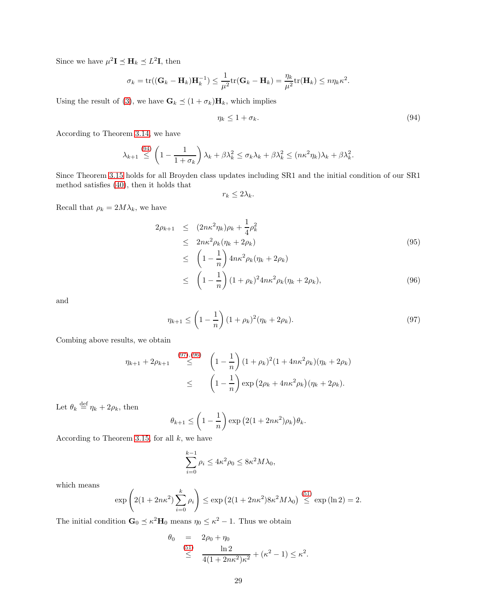Since we have  $\mu^2 \mathbf{I} \preceq \mathbf{H}_k \preceq L^2 \mathbf{I}$ , then

$$
\sigma_k = \text{tr}((\mathbf{G}_k - \mathbf{H}_k)\mathbf{H}_k^{-1}) \leq \frac{1}{\mu^2} \text{tr}(\mathbf{G}_k - \mathbf{H}_k) = \frac{\eta_k}{\mu^2} \text{tr}(\mathbf{H}_k) \leq n \eta_k \kappa^2.
$$

Using the result of [\(3\)](#page-1-2), we have  $\mathbf{G}_k \preceq (1 + \sigma_k) \mathbf{H}_k$ , which implies

<span id="page-28-0"></span>
$$
\eta_k \le 1 + \sigma_k. \tag{94}
$$

According to Theorem [3.14,](#page-9-1) we have

$$
\lambda_{k+1} \stackrel{(94)}{\leq} \left(1 - \frac{1}{1 + \sigma_k}\right) \lambda_k + \beta \lambda_k^2 \leq \sigma_k \lambda_k + \beta \lambda_k^2 \leq (n \kappa^2 \eta_k) \lambda_k + \beta \lambda_k^2.
$$

Since Theorem [3.15](#page-10-3) holds for all Broyden class updates including SR1 and the initial condition of our SR1 method satisfies [\(40\)](#page-10-7), then it holds that

 $r_k \leq 2\lambda_k$ .

Recall that  $\rho_k = 2M\lambda_k$ , we have

<span id="page-28-2"></span>
$$
2\rho_{k+1} \le (2n\kappa^2 \eta_k)\rho_k + \frac{1}{4}\rho_k^2
$$
  
\n
$$
\le 2n\kappa^2 \rho_k(\eta_k + 2\rho_k)
$$
  
\n
$$
\le \left(1 - \frac{1}{n}\right) 4n\kappa^2 \rho_k(\eta_k + 2\rho_k)
$$
\n(95)

$$
\leq \left(1 - \frac{1}{n}\right)(1 + \rho_k)^2 4n\kappa^2 \rho_k (\eta_k + 2\rho_k),\tag{96}
$$

and

<span id="page-28-1"></span>
$$
\eta_{k+1} \le \left(1 - \frac{1}{n}\right)(1 + \rho_k)^2(\eta_k + 2\rho_k). \tag{97}
$$

Combing above results, we obtain

$$
\eta_{k+1} + 2\rho_{k+1} \stackrel{(97),(96)}{\leq} \left(1 - \frac{1}{n}\right) (1 + \rho_k)^2 (1 + 4n\kappa^2 \rho_k) (\eta_k + 2\rho_k)
$$
  

$$
\leq \left(1 - \frac{1}{n}\right) \exp\left(2\rho_k + 4n\kappa^2 \rho_k\right) (\eta_k + 2\rho_k).
$$

Let  $\theta_k \stackrel{\text{def}}{=} \eta_k + 2\rho_k$ , then

$$
\theta_{k+1} \le \left(1 - \frac{1}{n}\right) \exp\left(2(1 + 2n\kappa^2)\rho_k\right)\theta_k.
$$

According to Theorem [3.15,](#page-10-3) for all  $k$ , we have

$$
\sum_{i=0}^{k-1} \rho_i \le 4\kappa^2 \rho_0 \le 8\kappa^2 M \lambda_0,
$$

which means

$$
\exp\left(2(1+2n\kappa^2)\sum_{i=0}^k \rho_i\right) \le \exp\left(2(1+2n\kappa^2)8\kappa^2 M\lambda_0\right) \stackrel{(51)}{\le} \exp\left(\ln 2\right) = 2.
$$

The initial condition  $\mathbf{G}_0 \preceq \kappa^2 \mathbf{H}_0$  means  $\eta_0 \leq \kappa^2 - 1$ . Thus we obtain

$$
\begin{array}{rcl}\n\theta_0 & = & 2\rho_0 + \eta_0 \\
& \leq & \frac{\ln 2}{4(1 + 2n\kappa^2)\kappa^2} + (\kappa^2 - 1) \leq \kappa^2.\n\end{array}
$$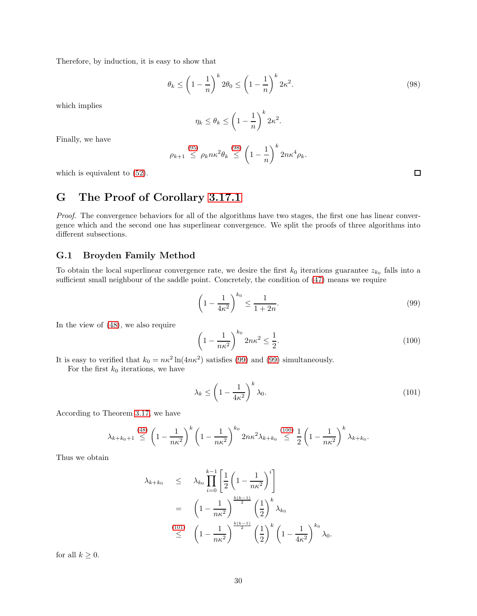Therefore, by induction, it is easy to show that

<span id="page-29-0"></span>
$$
\theta_k \le \left(1 - \frac{1}{n}\right)^k 2\theta_0 \le \left(1 - \frac{1}{n}\right)^k 2\kappa^2. \tag{98}
$$

which implies

$$
\eta_k \le \theta_k \le \left(1 - \frac{1}{n}\right)^k 2\kappa^2.
$$

Finally, we have

$$
\rho_{k+1} \leq \rho_k n \kappa^2 \theta_k \leq \left(1 - \frac{1}{n}\right)^k 2n \kappa^4 \rho_k.
$$

which is equivalent to [\(52\)](#page-11-6).

# G The Proof of Corollary [3.17.1](#page-11-0)

Proof. The convergence behaviors for all of the algorithms have two stages, the first one has linear convergence which and the second one has superlinear convergence. We split the proofs of three algorithms into different subsections.

#### G.1 Broyden Family Method

To obtain the local superlinear convergence rate, we desire the first  $k_0$  iterations guarantee  $z_{k_0}$  falls into a sufficient small neighbour of the saddle point. Concretely, the condition of [\(47\)](#page-10-12) means we require

$$
\left(1 - \frac{1}{4\kappa^2}\right)^{k_0} \le \frac{1}{1 + 2n}.\tag{99}
$$

In the view of [\(48\)](#page-10-11), we also require

<span id="page-29-2"></span>
$$
\left(1 - \frac{1}{n\kappa^2}\right)^{k_0} 2n\kappa^2 \le \frac{1}{2}.\tag{100}
$$

It is easy to verified that  $k_0 = n\kappa^2 \ln(4n\kappa^2)$  satisfies [\(99\)](#page-29-1) and (99) simultaneously.

For the first  $k_0$  iterations, we have

<span id="page-29-3"></span>
$$
\lambda_k \le \left(1 - \frac{1}{4\kappa^2}\right)^k \lambda_0. \tag{101}
$$

According to Theorem [3.17,](#page-10-4) we have

$$
\lambda_{k+k_0+1} \stackrel{(48)}{\leq} \left(1-\frac{1}{n\kappa^2}\right)^k \left(1-\frac{1}{n\kappa^2}\right)^{k_0} 2n\kappa^2 \lambda_{k+k_0} \stackrel{(100)}{\leq} \frac{1}{2} \left(1-\frac{1}{n\kappa^2}\right)^k \lambda_{k+k_0}.
$$

Thus we obtain

$$
\lambda_{k+k_0} \leq \lambda_{k_0} \prod_{i=0}^{k-1} \left[ \frac{1}{2} \left( 1 - \frac{1}{n\kappa^2} \right)^i \right]
$$
  
=  $\left( 1 - \frac{1}{n\kappa^2} \right)^{\frac{k(k-1)}{2}} \left( \frac{1}{2} \right)^k \lambda_{k_0}$   
 $\leq \left( 1 - \frac{1}{n\kappa^2} \right)^{\frac{k(k-1)}{2}} \left( \frac{1}{2} \right)^k \left( 1 - \frac{1}{4\kappa^2} \right)^{k_0} \lambda_0.$ 

for all  $k \geq 0$ .

<span id="page-29-1"></span> $\Box$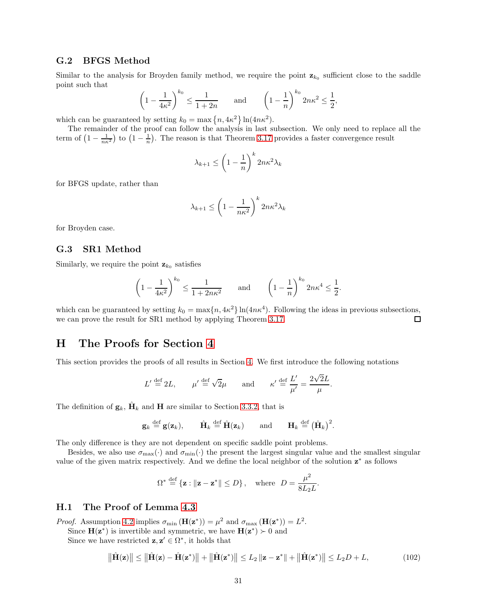### G.2 BFGS Method

Similar to the analysis for Broyden family method, we require the point  $z_{k_0}$  sufficient close to the saddle point such that

$$
\left(1 - \frac{1}{4\kappa^2}\right)^{k_0} \le \frac{1}{1+2n} \quad \text{and} \quad \left(1 - \frac{1}{n}\right)^{k_0} 2n\kappa^2 \le \frac{1}{2},
$$

which can be guaranteed by setting  $k_0 = \max\{n, 4\kappa^2\} \ln(4n\kappa^2)$ .

The remainder of the proof can follow the analysis in last subsection. We only need to replace all the term of  $\left(1-\frac{1}{n\kappa^2}\right)$  to  $\left(1-\frac{1}{n}\right)$ . The reason is that Theorem [3.17](#page-10-4) provides a faster convergence result

$$
\lambda_{k+1} \le \left(1 - \frac{1}{n}\right)^k 2n\kappa^2 \lambda_k
$$

for BFGS update, rather than

$$
\lambda_{k+1} \le \left(1 - \frac{1}{n\kappa^2}\right)^k 2n\kappa^2 \lambda_k
$$

for Broyden case.

### G.3 SR1 Method

Similarly, we require the point  $z_{k_0}$  satisfies

$$
\left(1 - \frac{1}{4\kappa^2}\right)^{k_0} \le \frac{1}{1 + 2n\kappa^2}
$$
 and  $\left(1 - \frac{1}{n}\right)^{k_0} 2n\kappa^4 \le \frac{1}{2}$ .

which can be guaranteed by setting  $k_0 = \max\{n, 4\kappa^2\} \ln(4n\kappa^4)$ . Following the ideas in previous subsections, we can prove the result for SR1 method by applying Theorem [3.17.](#page-10-4)  $\Box$ 

## H The Proofs for Section [4](#page-11-1)

This section provides the proofs of all results in Section [4.](#page-11-1) We first introduce the following notations

$$
L' \stackrel{\text{def}}{=} 2L, \qquad \mu' \stackrel{\text{def}}{=} \sqrt{2}\mu \qquad \text{and} \qquad \kappa' \stackrel{\text{def}}{=} \frac{L'}{\mu'} = \frac{2\sqrt{2}L}{\mu}.
$$

The definition of  $\mathbf{g}_k$ ,  $\hat{\mathbf{H}}_k$  and **H** are similar to Section [3.3.2,](#page-8-7) that is

$$
\mathbf{g}_k \stackrel{\text{def}}{=} \mathbf{g}(\mathbf{z}_k), \quad \hat{\mathbf{H}}_k \stackrel{\text{def}}{=} \hat{\mathbf{H}}(\mathbf{z}_k) \quad \text{and} \quad \mathbf{H}_k \stackrel{\text{def}}{=} (\hat{\mathbf{H}}_k)^2.
$$

The only difference is they are not dependent on specific saddle point problems.

Besides, we also use  $\sigma_{\text{max}}(\cdot)$  and  $\sigma_{\text{min}}(\cdot)$  the present the largest singular value and the smallest singular value of the given matrix respectively. And we define the local neighbor of the solution  $z^*$  as follows

<span id="page-30-0"></span>
$$
\Omega^* \stackrel{\text{def}}{=} \{\mathbf{z} : \|\mathbf{z} - \mathbf{z}^*\| \le D\}\,, \quad \text{where} \quad D = \frac{\mu^2}{8L_2L}.
$$

#### H.1 The Proof of Lemma [4.3](#page-12-2)

*Proof.* Assumption [4.2](#page-12-1) implies  $\sigma_{\min}(\mathbf{H}(\mathbf{z}^*)) = \mu^2$  and  $\sigma_{\max}(\mathbf{H}(\mathbf{z}^*)) = L^2$ . Since  $\mathbf{H}(\mathbf{z}^*)$  is invertible and symmetric, we have  $\mathbf{H}(\mathbf{z}^*) \succ 0$  and Since we have restricted  $z, z' \in \Omega^*$ , it holds that

$$
\|\hat{\mathbf{H}}(\mathbf{z})\| \le \|\hat{\mathbf{H}}(\mathbf{z}) - \hat{\mathbf{H}}(\mathbf{z}^*)\| + \|\hat{\mathbf{H}}(\mathbf{z}^*)\| \le L_2 \|\mathbf{z} - \mathbf{z}^*\| + \|\hat{\mathbf{H}}(\mathbf{z}^*)\| \le L_2 D + L,\tag{102}
$$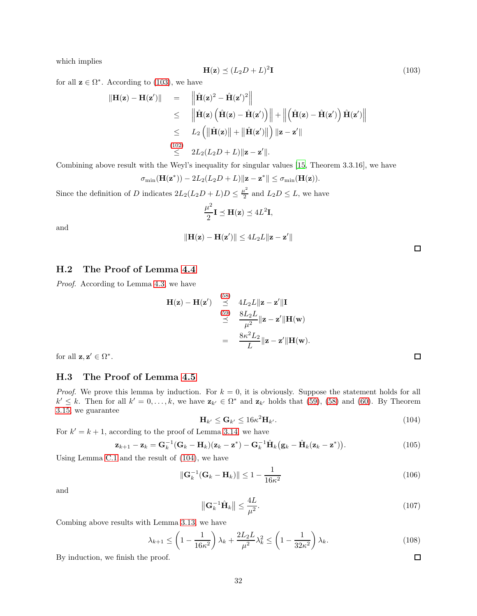which implies

$$
\mathbf{H}(\mathbf{z}) \preceq (L_2 D + L)^2 \mathbf{I} \tag{103}
$$

for all  $z \in \Omega^*$ . According to [\(103\)](#page-31-0), we have

<span id="page-31-0"></span>
$$
\|\mathbf{H}(\mathbf{z}) - \mathbf{H}(\mathbf{z}')\| = \|\hat{\mathbf{H}}(\mathbf{z})^2 - \hat{\mathbf{H}}(\mathbf{z}')^2\|
$$
  
\n
$$
\leq \|\hat{\mathbf{H}}(\mathbf{z}) (\hat{\mathbf{H}}(\mathbf{z}) - \hat{\mathbf{H}}(\mathbf{z}'))\| + \|(\hat{\mathbf{H}}(\mathbf{z}) - \hat{\mathbf{H}}(\mathbf{z}')) \hat{\mathbf{H}}(\mathbf{z}')\|
$$
  
\n
$$
\leq L_2 (\|\hat{\mathbf{H}}(\mathbf{z})\| + \|\hat{\mathbf{H}}(\mathbf{z}')\|) \|\mathbf{z} - \mathbf{z}'\|
$$
  
\n
$$
\overset{(102)}{\leq} 2L_2(L_2D + L) \|\mathbf{z} - \mathbf{z}'\|.
$$

Combining above result with the Weyl's inequality for singular values [\[15,](#page-14-20) Theorem 3.3.16], we have

$$
\sigma_{\min}(\mathbf{H}(\mathbf{z}^*)) - 2L_2(L_2D + L) \|\mathbf{z} - \mathbf{z}^*\| \le \sigma_{\min}(\mathbf{H}(\mathbf{z})).
$$

Since the definition of D indicates  $2L_2(L_2D+L)D \leq \frac{\mu^2}{2}$  $\frac{1}{2}$  and  $L_2D \leq L$ , we have

$$
\frac{\mu^2}{2}\mathbf{I} \preceq \mathbf{H}(\mathbf{z}) \preceq 4L^2\mathbf{I},
$$

and

$$
\|\mathbf{H}(\mathbf{z}) - \mathbf{H}(\mathbf{z}')\| \le 4L_2L \|\mathbf{z} - \mathbf{z}'\|
$$

H.2 The Proof of Lemma [4.4](#page-12-3)

Proof. According to Lemma [4.3,](#page-12-2) we have

$$
\mathbf{H}(\mathbf{z}) - \mathbf{H}(\mathbf{z}') \stackrel{(58)}{\preceq} 4L_2L \|\mathbf{z} - \mathbf{z}'\| \mathbf{I}
$$
  
\n
$$
\stackrel{(59)}{\preceq} \frac{8L_2L}{\mu^2} \|\mathbf{z} - \mathbf{z}'\| \mathbf{H}(\mathbf{w})
$$
  
\n
$$
= \frac{8\kappa^2 L_2}{L} \|\mathbf{z} - \mathbf{z}'\| \mathbf{H}(\mathbf{w}).
$$

for all  $z, z' \in \Omega^*$ .

### H.3 The Proof of Lemma [4.5](#page-12-4)

*Proof.* We prove this lemma by induction. For  $k = 0$ , it is obviously. Suppose the statement holds for all  $k' \leq k$ . Then for all  $k' = 0, \ldots, k$ , we have  $\mathbf{z}_{k'} \in \Omega^*$  and  $\mathbf{z}_{k'}$  holds that [\(59\)](#page-12-7), [\(58\)](#page-12-6) and [\(60\)](#page-12-8). By Theorem [3.15,](#page-10-3) we guarantee

$$
\mathbf{H}_{k'} \leq \mathbf{G}_{k'} \leq 16\kappa^2 \mathbf{H}_{k'}.\tag{104}
$$

For  $k' = k + 1$ , according to the proof of Lemma [3.14,](#page-9-1) we have

<span id="page-31-1"></span>
$$
\mathbf{z}_{k+1} - \mathbf{z}_k = \mathbf{G}_k^{-1} (\mathbf{G}_k - \mathbf{H}_k)(\mathbf{z}_k - \mathbf{z}^*) - \mathbf{G}_k^{-1} \hat{\mathbf{H}}_k (\mathbf{g}_k - \hat{\mathbf{H}}_k (\mathbf{z}_k - \mathbf{z}^*) ).
$$
 (105)

Using Lemma [C.1](#page-17-2) and the result of [\(104\)](#page-31-1), we have

$$
\|\mathbf{G}_k^{-1}(\mathbf{G}_k - \mathbf{H}_k)\| \le 1 - \frac{1}{16\kappa^2} \tag{106}
$$

and

$$
\left\| \mathbf{G}_k^{-1} \hat{\mathbf{H}}_k \right\| \le \frac{4L}{\mu^2}.\tag{107}
$$

Combing above results with Lemma [3.13,](#page-9-3) we have

$$
\lambda_{k+1} \le \left(1 - \frac{1}{16\kappa^2}\right)\lambda_k + \frac{2L_2L}{\mu^2}\lambda_k^2 \le \left(1 - \frac{1}{32\kappa^2}\right)\lambda_k. \tag{108}
$$

By induction, we finish the proof.

 $\Box$ 

 $\Box$